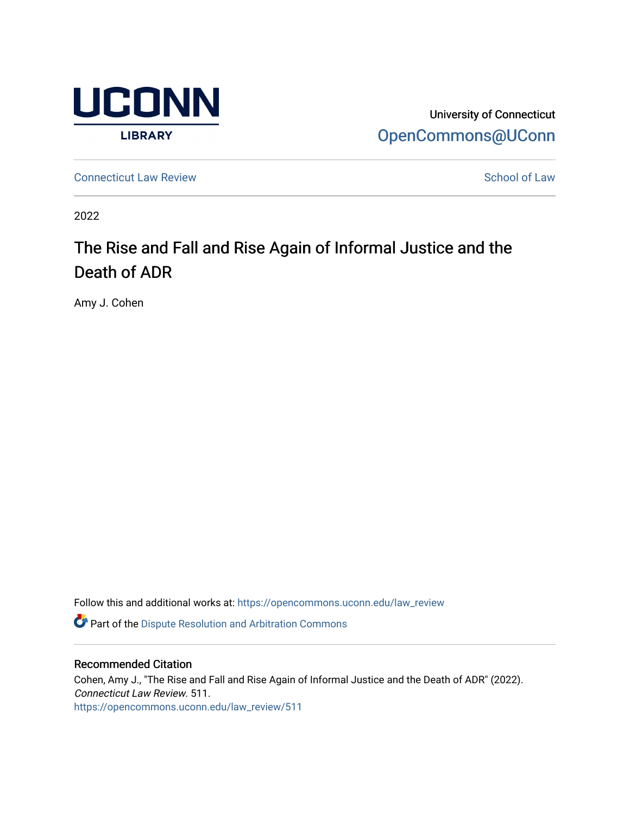

University of Connecticut [OpenCommons@UConn](https://opencommons.uconn.edu/) 

**[Connecticut Law Review](https://opencommons.uconn.edu/law_review) [School of Law](https://opencommons.uconn.edu/sol) Review School of Law School of Law School of Law School of Law School of Law School of Law School of Law School of Law School of Law School of Law School of Law School of Law School of** 

2022

# The Rise and Fall and Rise Again of Informal Justice and the Death of ADR

Amy J. Cohen

Follow this and additional works at: [https://opencommons.uconn.edu/law\\_review](https://opencommons.uconn.edu/law_review?utm_source=opencommons.uconn.edu%2Flaw_review%2F511&utm_medium=PDF&utm_campaign=PDFCoverPages)

**C** Part of the Dispute Resolution and Arbitration Commons

## Recommended Citation

Cohen, Amy J., "The Rise and Fall and Rise Again of Informal Justice and the Death of ADR" (2022). Connecticut Law Review. 511. [https://opencommons.uconn.edu/law\\_review/511](https://opencommons.uconn.edu/law_review/511?utm_source=opencommons.uconn.edu%2Flaw_review%2F511&utm_medium=PDF&utm_campaign=PDFCoverPages)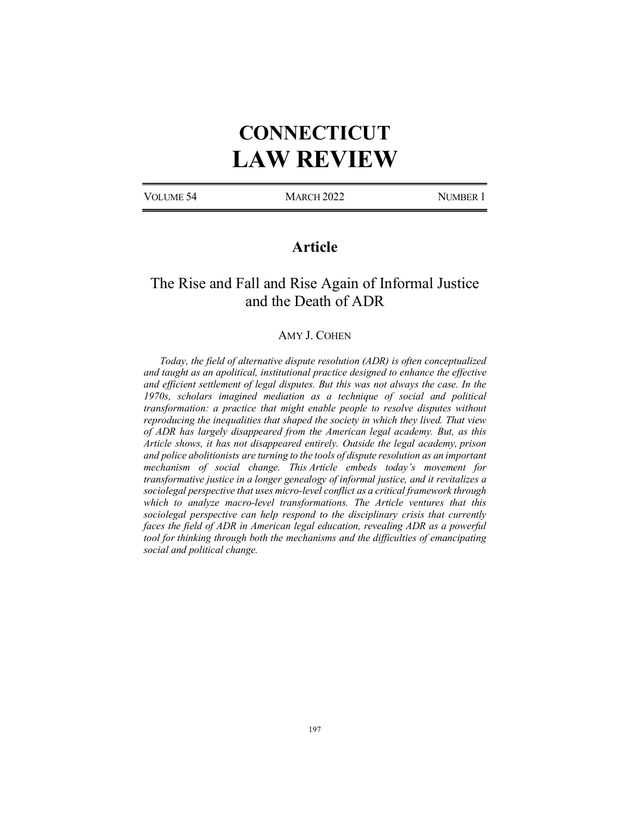# **CONNECTICUT LAW REVIEW**

VOLUME 54 MARCH 2022 NUMBER 1

# **Article**

# The Rise and Fall and Rise Again of Informal Justice and the Death of ADR

## AMY J. COHEN

*Today, the field of alternative dispute resolution (ADR) is often conceptualized and taught as an apolitical, institutional practice designed to enhance the effective and efficient settlement of legal disputes. But this was not always the case. In the 1970s, scholars imagined mediation as a technique of social and political transformation: a practice that might enable people to resolve disputes without reproducing the inequalities that shaped the society in which they lived. That view of ADR has largely disappeared from the American legal academy. But, as this Article shows, it has not disappeared entirely. Outside the legal academy, prison and police abolitionists are turning to the tools of dispute resolution as an important mechanism of social change. This Article embeds today's movement for transformative justice in a longer genealogy of informal justice, and it revitalizes a sociolegal perspective that uses micro-level conflict as a critical framework through which to analyze macro-level transformations. The Article ventures that this sociolegal perspective can help respond to the disciplinary crisis that currently faces the field of ADR in American legal education, revealing ADR as a powerful tool for thinking through both the mechanisms and the difficulties of emancipating social and political change.*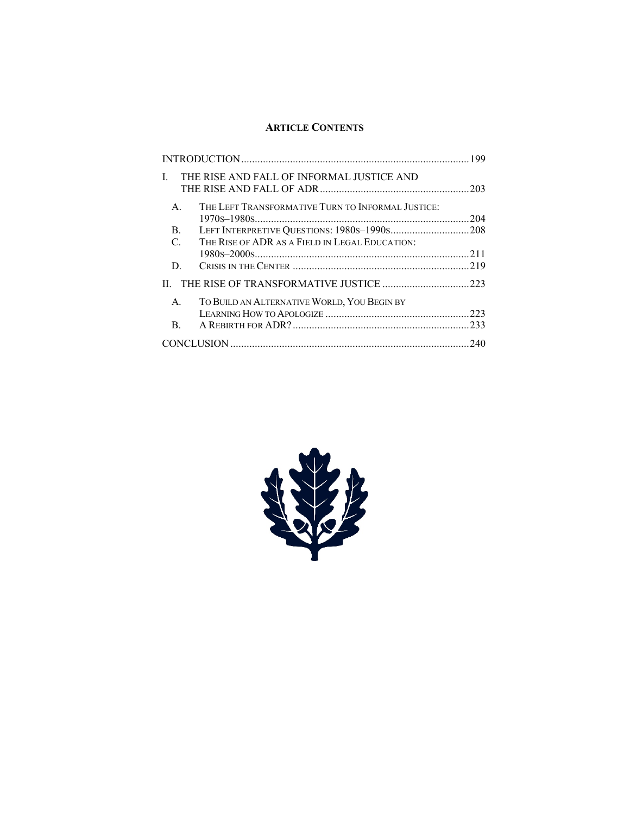# **ARTICLE CONTENTS**

| $\mathbf{I}$   | THE RISE AND FALL OF INFORMAL JUSTICE AND         | 203 |
|----------------|---------------------------------------------------|-----|
| $\mathsf{A}$ . | THE LEFT TRANSFORMATIVE TURN TO INFORMAL JUSTICE: | 204 |
| B.             |                                                   |     |
| $\mathcal{C}$  | THE RISE OF ADR AS A FIELD IN LEGAL EDUCATION:    |     |
|                |                                                   | 211 |
| D              |                                                   |     |
|                |                                                   |     |
| $\mathsf{A}$ . | TO BUILD AN ALTERNATIVE WORLD, YOU BEGIN BY       |     |
|                |                                                   | 223 |
| B.             |                                                   | 233 |
|                |                                                   | 240 |

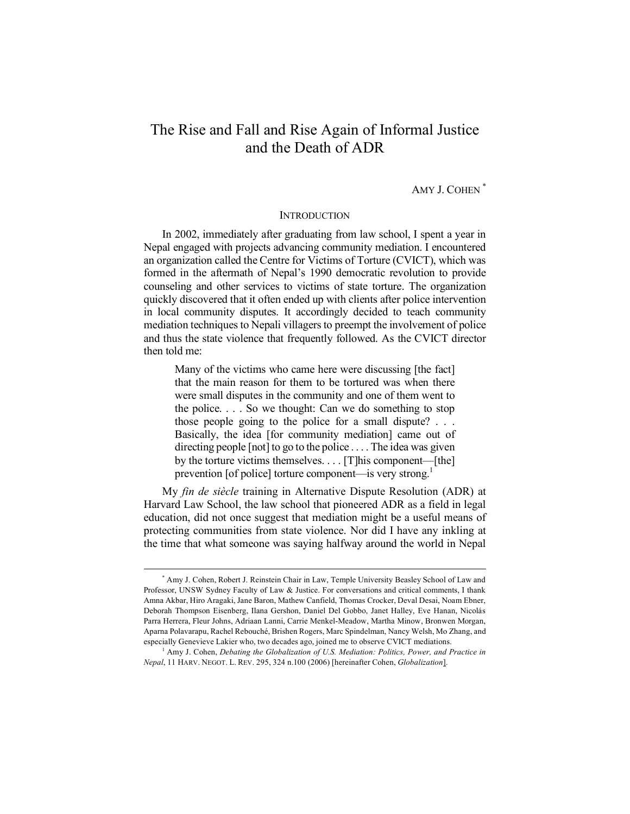# The Rise and Fall and Rise Again of Informal Justice and the Death of ADR

# AMY J. COHEN \*

## **INTRODUCTION**

In 2002, immediately after graduating from law school, I spent a year in Nepal engaged with projects advancing community mediation. I encountered an organization called the Centre for Victims of Torture (CVICT), which was formed in the aftermath of Nepal's 1990 democratic revolution to provide counseling and other services to victims of state torture. The organization quickly discovered that it often ended up with clients after police intervention in local community disputes. It accordingly decided to teach community mediation techniques to Nepali villagers to preempt the involvement of police and thus the state violence that frequently followed. As the CVICT director then told me:

Many of the victims who came here were discussing [the fact] that the main reason for them to be tortured was when there were small disputes in the community and one of them went to the police. . . . So we thought: Can we do something to stop those people going to the police for a small dispute? . . . Basically, the idea [for community mediation] came out of directing people [not] to go to the police . . . . The idea was given by the torture victims themselves. . . . [T]his component—[the] prevention [of police] torture component—is very strong.<sup>1</sup>

My *fin de siècle* training in Alternative Dispute Resolution (ADR) at Harvard Law School, the law school that pioneered ADR as a field in legal education, did not once suggest that mediation might be a useful means of protecting communities from state violence. Nor did I have any inkling at the time that what someone was saying halfway around the world in Nepal

 <sup>\*</sup> Amy J. Cohen, Robert J. Reinstein Chair in Law, Temple University Beasley School of Law and Professor, UNSW Sydney Faculty of Law & Justice. For conversations and critical comments, I thank Amna Akbar, Hiro Aragaki, Jane Baron, Mathew Canfield, Thomas Crocker, Deval Desai, Noam Ebner, Deborah Thompson Eisenberg, Ilana Gershon, Daniel Del Gobbo, Janet Halley, Eve Hanan, Nicolás Parra Herrera, Fleur Johns, Adriaan Lanni, Carrie Menkel-Meadow, Martha Minow, Bronwen Morgan, Aparna Polavarapu, Rachel Rebouché, Brishen Rogers, Marc Spindelman, Nancy Welsh, Mo Zhang, and especially Genevieve Lakier who, two decades ago, joined me to observe CVICT mediations.

<sup>1</sup> Amy J. Cohen, *Debating the Globalization of U.S. Mediation: Politics, Power, and Practice in Nepal*, 11 HARV. NEGOT. L. REV. 295, 324 n.100 (2006) [hereinafter Cohen, *Globalization*].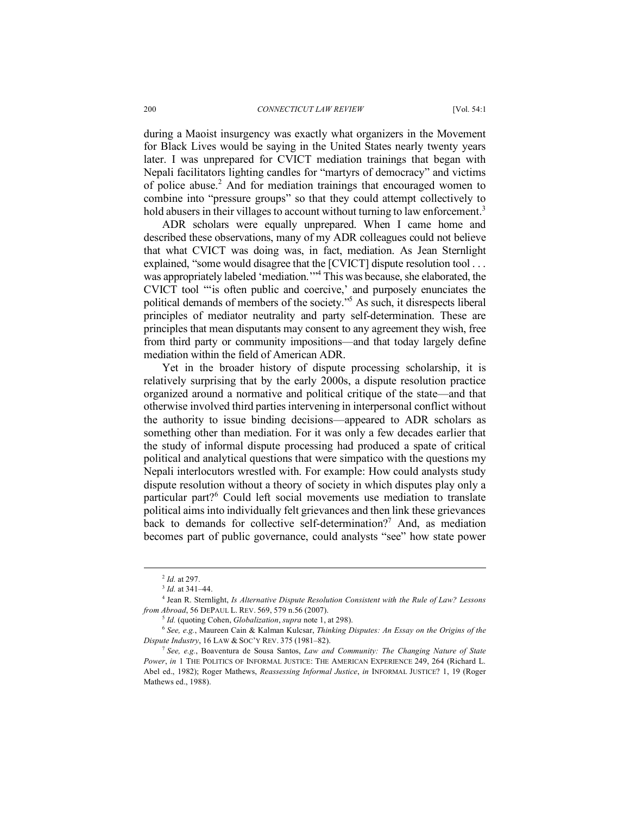during a Maoist insurgency was exactly what organizers in the Movement for Black Lives would be saying in the United States nearly twenty years later. I was unprepared for CVICT mediation trainings that began with Nepali facilitators lighting candles for "martyrs of democracy" and victims of police abuse. <sup>2</sup> And for mediation trainings that encouraged women to combine into "pressure groups" so that they could attempt collectively to hold abusers in their villages to account without turning to law enforcement.<sup>3</sup>

ADR scholars were equally unprepared. When I came home and described these observations, many of my ADR colleagues could not believe that what CVICT was doing was, in fact, mediation. As Jean Sternlight explained, "some would disagree that the [CVICT] dispute resolution tool ... was appropriately labeled 'mediation.'"<sup>4</sup> This was because, she elaborated, the CVICT tool "'is often public and coercive,' and purposely enunciates the political demands of members of the society."5 As such, it disrespects liberal principles of mediator neutrality and party self-determination. These are principles that mean disputants may consent to any agreement they wish, free from third party or community impositions—and that today largely define mediation within the field of American ADR.

Yet in the broader history of dispute processing scholarship, it is relatively surprising that by the early 2000s, a dispute resolution practice organized around a normative and political critique of the state—and that otherwise involved third parties intervening in interpersonal conflict without the authority to issue binding decisions—appeared to ADR scholars as something other than mediation. For it was only a few decades earlier that the study of informal dispute processing had produced a spate of critical political and analytical questions that were simpatico with the questions my Nepali interlocutors wrestled with. For example: How could analysts study dispute resolution without a theory of society in which disputes play only a particular part?<sup>6</sup> Could left social movements use mediation to translate political aims into individually felt grievances and then link these grievances back to demands for collective self-determination?<sup>7</sup> And, as mediation becomes part of public governance, could analysts "see" how state power

 <sup>2</sup> *Id.* at 297.

<sup>3</sup> *Id.* at 341–44.

<sup>4</sup> Jean R. Sternlight, *Is Alternative Dispute Resolution Consistent with the Rule of Law? Lessons from Abroad*, 56 DEPAUL L. REV. 569, 579 n.56 (2007).

<sup>5</sup> *Id.* (quoting Cohen, *Globalization*, *supra* note 1, at 298).

<sup>6</sup> *See, e.g.*, Maureen Cain & Kalman Kulcsar, *Thinking Disputes: An Essay on the Origins of the Dispute Industry*, 16 LAW & SOC'Y REV. 375 (1981–82).

<sup>7</sup> *See, e.g.*, Boaventura de Sousa Santos, *Law and Community: The Changing Nature of State Power*, *in* 1 THE POLITICS OF INFORMAL JUSTICE: THE AMERICAN EXPERIENCE 249, 264 (Richard L. Abel ed., 1982); Roger Mathews, *Reassessing Informal Justice*, *in* INFORMAL JUSTICE? 1, 19 (Roger Mathews ed., 1988).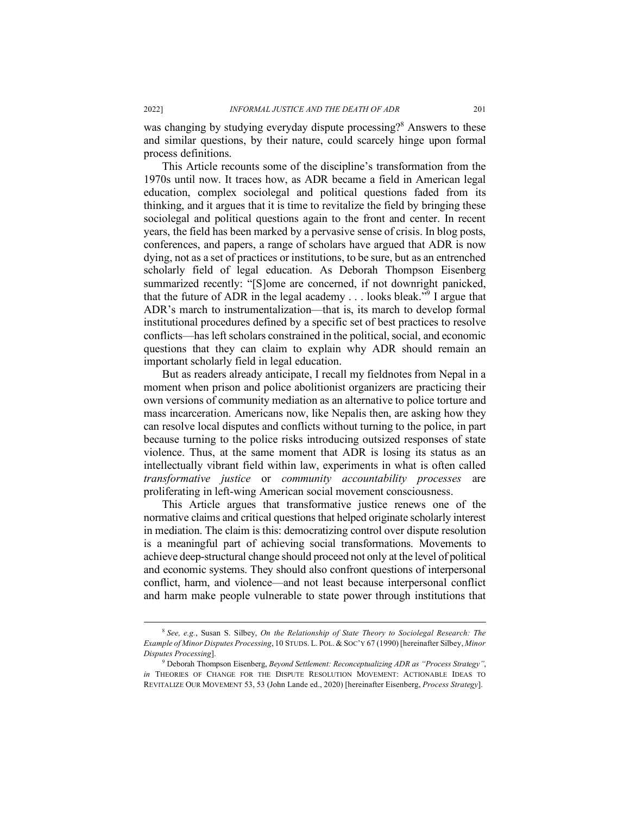was changing by studying everyday dispute processing?<sup>8</sup> Answers to these and similar questions, by their nature, could scarcely hinge upon formal process definitions.

This Article recounts some of the discipline's transformation from the 1970s until now. It traces how, as ADR became a field in American legal education, complex sociolegal and political questions faded from its thinking, and it argues that it is time to revitalize the field by bringing these sociolegal and political questions again to the front and center. In recent years, the field has been marked by a pervasive sense of crisis. In blog posts, conferences, and papers, a range of scholars have argued that ADR is now dying, not as a set of practices or institutions, to be sure, but as an entrenched scholarly field of legal education. As Deborah Thompson Eisenberg summarized recently: "[S]ome are concerned, if not downright panicked, that the future of ADR in the legal academy  $\ldots$  looks bleak."<sup>9</sup> I argue that ADR's march to instrumentalization—that is, its march to develop formal institutional procedures defined by a specific set of best practices to resolve conflicts—has left scholars constrained in the political, social, and economic questions that they can claim to explain why ADR should remain an important scholarly field in legal education.

But as readers already anticipate, I recall my fieldnotes from Nepal in a moment when prison and police abolitionist organizers are practicing their own versions of community mediation as an alternative to police torture and mass incarceration. Americans now, like Nepalis then, are asking how they can resolve local disputes and conflicts without turning to the police, in part because turning to the police risks introducing outsized responses of state violence. Thus, at the same moment that ADR is losing its status as an intellectually vibrant field within law, experiments in what is often called *transformative justice* or *community accountability processes* are proliferating in left-wing American social movement consciousness.

This Article argues that transformative justice renews one of the normative claims and critical questions that helped originate scholarly interest in mediation. The claim is this: democratizing control over dispute resolution is a meaningful part of achieving social transformations. Movements to achieve deep-structural change should proceed not only at the level of political and economic systems. They should also confront questions of interpersonal conflict, harm, and violence—and not least because interpersonal conflict and harm make people vulnerable to state power through institutions that

 <sup>8</sup> *See, e.g.*, Susan S. Silbey, *On the Relationship of State Theory to Sociolegal Research: The Example of Minor Disputes Processing*, 10 STUDS. L. POL. & SOC'Y 67 (1990) [hereinafter Silbey, *Minor Disputes Processing*]. 9 Deborah Thompson Eisenberg, *Beyond Settlement: Reconceptualizing ADR as "Process Strategy"*,

*in* THEORIES OF CHANGE FOR THE DISPUTE RESOLUTION MOVEMENT: ACTIONABLE IDEAS TO REVITALIZE OUR MOVEMENT 53, 53 (John Lande ed., 2020) [hereinafter Eisenberg, *Process Strategy*].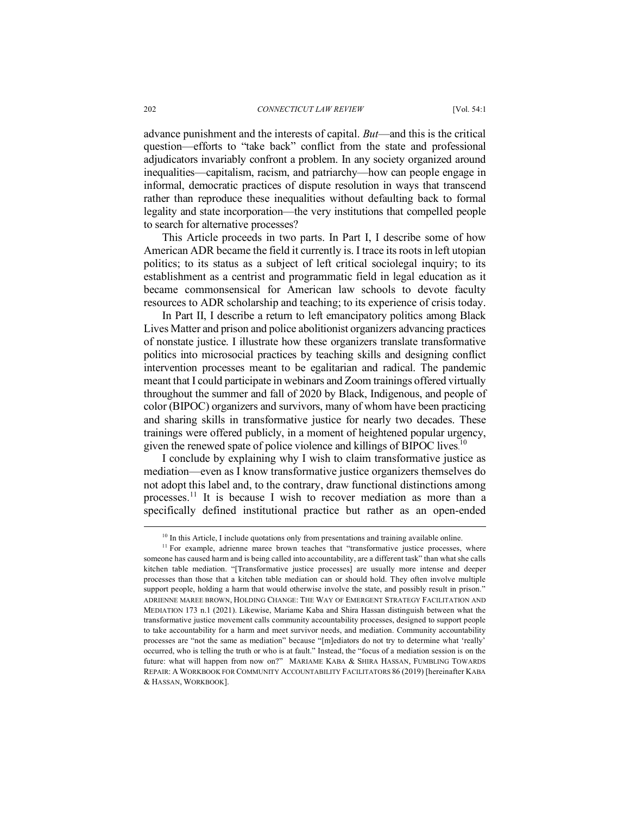advance punishment and the interests of capital. *But*—and this is the critical question—efforts to "take back" conflict from the state and professional adjudicators invariably confront a problem. In any society organized around inequalities—capitalism, racism, and patriarchy—how can people engage in informal, democratic practices of dispute resolution in ways that transcend rather than reproduce these inequalities without defaulting back to formal legality and state incorporation—the very institutions that compelled people to search for alternative processes?

This Article proceeds in two parts. In Part I, I describe some of how American ADR became the field it currently is. I trace its roots in left utopian politics; to its status as a subject of left critical sociolegal inquiry; to its establishment as a centrist and programmatic field in legal education as it became commonsensical for American law schools to devote faculty resources to ADR scholarship and teaching; to its experience of crisis today.

In Part II, I describe a return to left emancipatory politics among Black Lives Matter and prison and police abolitionist organizers advancing practices of nonstate justice. I illustrate how these organizers translate transformative politics into microsocial practices by teaching skills and designing conflict intervention processes meant to be egalitarian and radical. The pandemic meant that I could participate in webinars and Zoom trainings offered virtually throughout the summer and fall of 2020 by Black, Indigenous, and people of color (BIPOC) organizers and survivors, many of whom have been practicing and sharing skills in transformative justice for nearly two decades. These trainings were offered publicly, in a moment of heightened popular urgency, given the renewed spate of police violence and killings of BIPOC lives.<sup>10</sup>

I conclude by explaining why I wish to claim transformative justice as mediation—even as I know transformative justice organizers themselves do not adopt this label and, to the contrary, draw functional distinctions among processes.<sup>11</sup> It is because I wish to recover mediation as more than a specifically defined institutional practice but rather as an open-ended

 $10$  In this Article, I include quotations only from presentations and training available online.

<sup>&</sup>lt;sup>11</sup> For example, adrienne maree brown teaches that "transformative justice processes, where someone has caused harm and is being called into accountability, are a different task" than what she calls kitchen table mediation. "[Transformative justice processes] are usually more intense and deeper processes than those that a kitchen table mediation can or should hold. They often involve multiple support people, holding a harm that would otherwise involve the state, and possibly result in prison." ADRIENNE MAREE BROWN, HOLDING CHANGE: THE WAY OF EMERGENT STRATEGY FACILITATION AND MEDIATION 173 n.1 (2021). Likewise, Mariame Kaba and Shira Hassan distinguish between what the transformative justice movement calls community accountability processes, designed to support people to take accountability for a harm and meet survivor needs, and mediation. Community accountability processes are "not the same as mediation" because "[m]ediators do not try to determine what 'really' occurred, who is telling the truth or who is at fault." Instead, the "focus of a mediation session is on the future: what will happen from now on?" MARIAME KABA & SHIRA HASSAN, FUMBLING TOWARDS REPAIR: A WORKBOOK FOR COMMUNITY ACCOUNTABILITY FACILITATORS 86 (2019) [hereinafter KABA & HASSAN, WORKBOOK].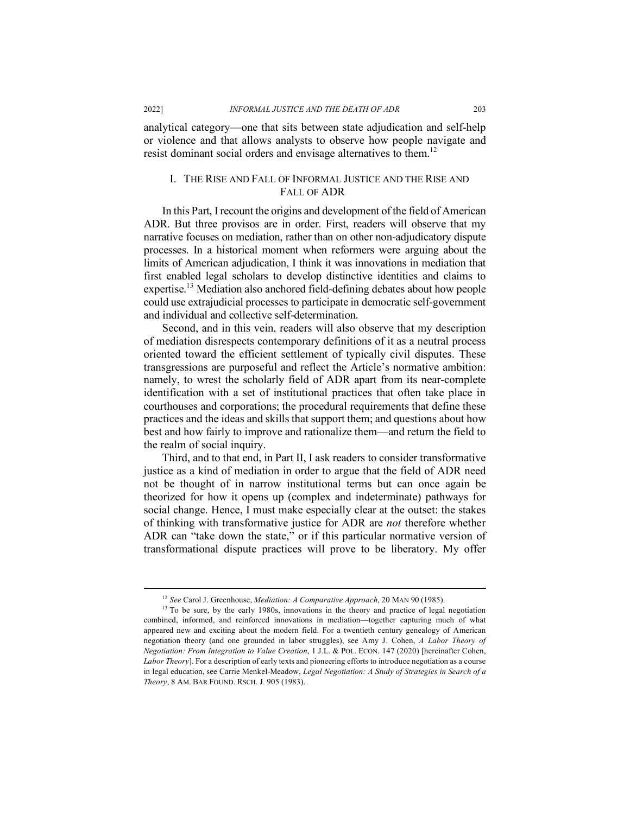analytical category—one that sits between state adjudication and self-help or violence and that allows analysts to observe how people navigate and resist dominant social orders and envisage alternatives to them.<sup>12</sup>

## I. THE RISE AND FALL OF INFORMAL JUSTICE AND THE RISE AND FALL OF ADR

In this Part, I recount the origins and development of the field of American ADR. But three provisos are in order. First, readers will observe that my narrative focuses on mediation, rather than on other non-adjudicatory dispute processes. In a historical moment when reformers were arguing about the limits of American adjudication, I think it was innovations in mediation that first enabled legal scholars to develop distinctive identities and claims to expertise.<sup>13</sup> Mediation also anchored field-defining debates about how people could use extrajudicial processes to participate in democratic self-government and individual and collective self-determination.

Second, and in this vein, readers will also observe that my description of mediation disrespects contemporary definitions of it as a neutral process oriented toward the efficient settlement of typically civil disputes. These transgressions are purposeful and reflect the Article's normative ambition: namely, to wrest the scholarly field of ADR apart from its near-complete identification with a set of institutional practices that often take place in courthouses and corporations; the procedural requirements that define these practices and the ideas and skills that support them; and questions about how best and how fairly to improve and rationalize them—and return the field to the realm of social inquiry.

Third, and to that end, in Part II, I ask readers to consider transformative justice as a kind of mediation in order to argue that the field of ADR need not be thought of in narrow institutional terms but can once again be theorized for how it opens up (complex and indeterminate) pathways for social change. Hence, I must make especially clear at the outset: the stakes of thinking with transformative justice for ADR are *not* therefore whether ADR can "take down the state," or if this particular normative version of transformational dispute practices will prove to be liberatory. My offer

 <sup>12</sup> *See* Carol J. Greenhouse, *Mediation: A Comparative Approach*, 20 MAN 90 (1985).

<sup>&</sup>lt;sup>13</sup> To be sure, by the early 1980s, innovations in the theory and practice of legal negotiation combined, informed, and reinforced innovations in mediation—together capturing much of what appeared new and exciting about the modern field. For a twentieth century genealogy of American negotiation theory (and one grounded in labor struggles), see Amy J. Cohen, *A Labor Theory of Negotiation: From Integration to Value Creation*, 1 J.L. & POL. ECON. 147 (2020) [hereinafter Cohen, *Labor Theory*]. For a description of early texts and pioneering efforts to introduce negotiation as a course in legal education, see Carrie Menkel-Meadow, *Legal Negotiation: A Study of Strategies in Search of a Theory*, 8 AM. BAR FOUND. RSCH. J. 905 (1983).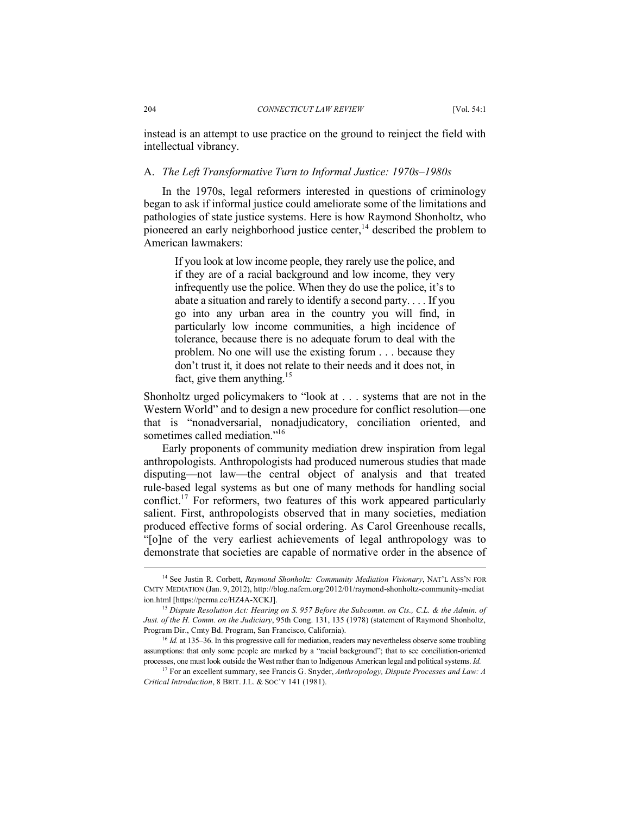instead is an attempt to use practice on the ground to reinject the field with intellectual vibrancy.

## A. *The Left Transformative Turn to Informal Justice: 1970s–1980s*

In the 1970s, legal reformers interested in questions of criminology began to ask if informal justice could ameliorate some of the limitations and pathologies of state justice systems. Here is how Raymond Shonholtz, who pioneered an early neighborhood justice center,<sup>14</sup> described the problem to American lawmakers:

If you look at low income people, they rarely use the police, and if they are of a racial background and low income, they very infrequently use the police. When they do use the police, it's to abate a situation and rarely to identify a second party. . . . If you go into any urban area in the country you will find, in particularly low income communities, a high incidence of tolerance, because there is no adequate forum to deal with the problem. No one will use the existing forum . . . because they don't trust it, it does not relate to their needs and it does not, in fact, give them anything.<sup>15</sup>

Shonholtz urged policymakers to "look at . . . systems that are not in the Western World" and to design a new procedure for conflict resolution—one that is "nonadversarial, nonadjudicatory, conciliation oriented, and sometimes called mediation."<sup>16</sup>

Early proponents of community mediation drew inspiration from legal anthropologists. Anthropologists had produced numerous studies that made disputing—not law—the central object of analysis and that treated rule-based legal systems as but one of many methods for handling social conflict.17 For reformers, two features of this work appeared particularly salient. First, anthropologists observed that in many societies, mediation produced effective forms of social ordering. As Carol Greenhouse recalls, "[o]ne of the very earliest achievements of legal anthropology was to demonstrate that societies are capable of normative order in the absence of

 <sup>14</sup> See Justin R. Corbett, *Raymond Shonholtz: Community Mediation Visionary*, NAT'L ASS'N FOR CMTY MEDIATION (Jan. 9, 2012), http://blog.nafcm.org/2012/01/raymond-shonholtz-community-mediat ion.html [https://perma.cc/HZ4A-XCKJ].

<sup>&</sup>lt;sup>15</sup> Dispute Resolution Act: Hearing on S. 957 Before the Subcomm. on Cts., C.L. & the Admin. of *Just. of the H. Comm. on the Judiciary*, 95th Cong. 131, 135 (1978) (statement of Raymond Shonholtz, Program Dir., Cmty Bd. Program, San Francisco, California).

<sup>&</sup>lt;sup>16</sup> *Id.* at 135–36. In this progressive call for mediation, readers may nevertheless observe some troubling assumptions: that only some people are marked by a "racial background"; that to see conciliation-oriented processes, one must look outside the West rather than to Indigenous American legal and political systems. *Id.*

<sup>&</sup>lt;sup>17</sup> For an excellent summary, see Francis G. Snyder, *Anthropology*, *Dispute Processes and Law: A Critical Introduction*, 8 BRIT. J.L. & SOC'Y 141 (1981).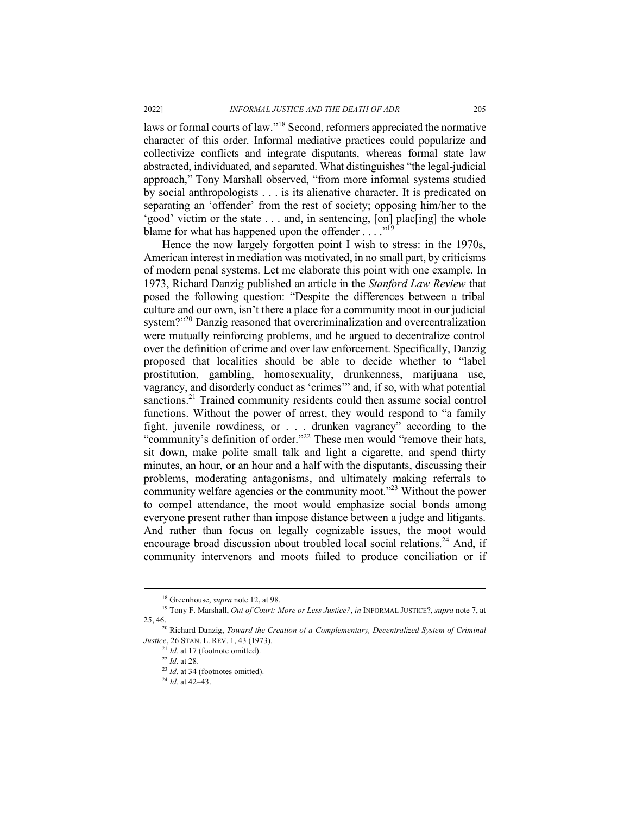laws or formal courts of law."18 Second, reformers appreciated the normative character of this order. Informal mediative practices could popularize and collectivize conflicts and integrate disputants, whereas formal state law abstracted, individuated, and separated. What distinguishes "the legal-judicial approach," Tony Marshall observed, "from more informal systems studied by social anthropologists . . . is its alienative character. It is predicated on separating an 'offender' from the rest of society; opposing him/her to the 'good' victim or the state . . . and, in sentencing, [on] plac[ing] the whole blame for what has happened upon the offender  $\ldots$ ."<sup>19</sup>

Hence the now largely forgotten point I wish to stress: in the 1970s, American interest in mediation was motivated, in no small part, by criticisms of modern penal systems. Let me elaborate this point with one example. In 1973, Richard Danzig published an article in the *Stanford Law Review* that posed the following question: "Despite the differences between a tribal culture and our own, isn't there a place for a community moot in our judicial system?"<sup>20</sup> Danzig reasoned that overcriminalization and overcentralization were mutually reinforcing problems, and he argued to decentralize control over the definition of crime and over law enforcement. Specifically, Danzig proposed that localities should be able to decide whether to "label prostitution, gambling, homosexuality, drunkenness, marijuana use, vagrancy, and disorderly conduct as 'crimes'" and, if so, with what potential sanctions.<sup>21</sup> Trained community residents could then assume social control functions. Without the power of arrest, they would respond to "a family fight, juvenile rowdiness, or . . . drunken vagrancy" according to the "community's definition of order."<sup>22</sup> These men would "remove their hats, sit down, make polite small talk and light a cigarette, and spend thirty minutes, an hour, or an hour and a half with the disputants, discussing their problems, moderating antagonisms, and ultimately making referrals to community welfare agencies or the community moot."23 Without the power to compel attendance, the moot would emphasize social bonds among everyone present rather than impose distance between a judge and litigants. And rather than focus on legally cognizable issues, the moot would encourage broad discussion about troubled local social relations.<sup>24</sup> And, if community intervenors and moots failed to produce conciliation or if

 <sup>18</sup> Greenhouse, *supra* note 12, at 98.

<sup>19</sup> Tony F. Marshall, *Out of Court: More or Less Justice?*, *in* INFORMAL JUSTICE?, *supra* note 7, at 25, 46. 20 Richard Danzig, *Toward the Creation of a Complementary, Decentralized System of Criminal* 

*Justice*, 26 STAN. L. REV. 1, 43 (1973).

 $^{21}$  *Id.* at 17 (footnote omitted).

<sup>22</sup> *Id.* at 28.

<sup>&</sup>lt;sup>23</sup> *Id.* at 34 (footnotes omitted).

<sup>24</sup> *Id.* at 42–43.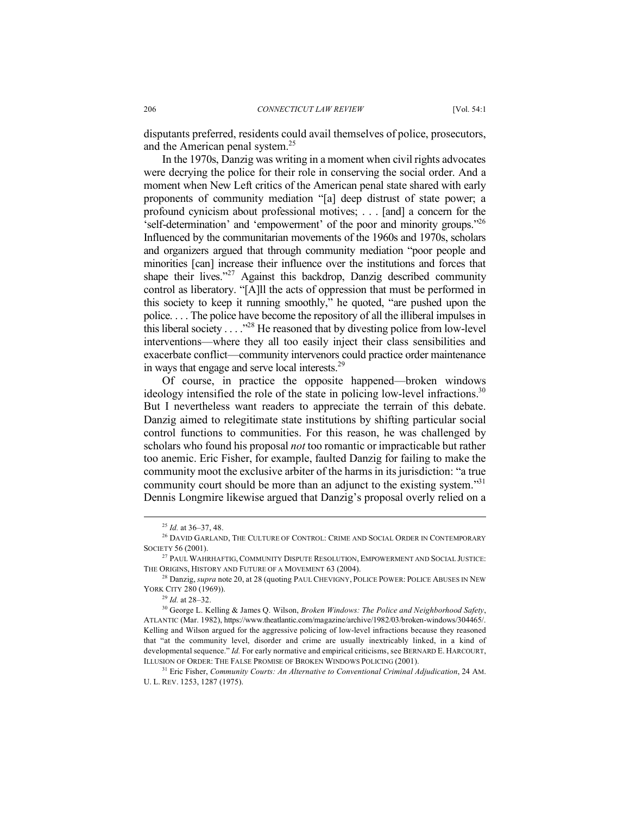disputants preferred, residents could avail themselves of police, prosecutors, and the American penal system.25

In the 1970s, Danzig was writing in a moment when civil rights advocates were decrying the police for their role in conserving the social order. And a moment when New Left critics of the American penal state shared with early proponents of community mediation "[a] deep distrust of state power; a profound cynicism about professional motives; . . . [and] a concern for the 'self-determination' and 'empowerment' of the poor and minority groups."26 Influenced by the communitarian movements of the 1960s and 1970s, scholars and organizers argued that through community mediation "poor people and minorities [can] increase their influence over the institutions and forces that shape their lives."<sup>27</sup> Against this backdrop, Danzig described community control as liberatory. "[A]ll the acts of oppression that must be performed in this society to keep it running smoothly," he quoted, "are pushed upon the police. . . . The police have become the repository of all the illiberal impulses in this liberal society . . . ."28 He reasoned that by divesting police from low-level interventions—where they all too easily inject their class sensibilities and exacerbate conflict—community intervenors could practice order maintenance in ways that engage and serve local interests.29

Of course, in practice the opposite happened—broken windows ideology intensified the role of the state in policing low-level infractions.<sup>30</sup> But I nevertheless want readers to appreciate the terrain of this debate. Danzig aimed to relegitimate state institutions by shifting particular social control functions to communities. For this reason, he was challenged by scholars who found his proposal *not* too romantic or impracticable but rather too anemic. Eric Fisher, for example, faulted Danzig for failing to make the community moot the exclusive arbiter of the harms in its jurisdiction: "a true community court should be more than an adjunct to the existing system."<sup>31</sup> Dennis Longmire likewise argued that Danzig's proposal overly relied on a

 <sup>25</sup> *Id.* at 36–37, 48.

<sup>&</sup>lt;sup>26</sup> DAVID GARLAND, THE CULTURE OF CONTROL: CRIME AND SOCIAL ORDER IN CONTEMPORARY SOCIETY 56 (2001).

<sup>27</sup> PAUL WAHRHAFTIG, COMMUNITY DISPUTE RESOLUTION, EMPOWERMENT AND SOCIAL JUSTICE: THE ORIGINS, HISTORY AND FUTURE OF A MOVEMENT 63 (2004).

<sup>&</sup>lt;sup>28</sup> Danzig, *supra* note 20, at 28 (quoting PAUL CHEVIGNY, POLICE POWER: POLICE ABUSES IN NEW YORK CITY 280 (1969)).

<sup>29</sup> *Id.* at 28–32.

<sup>30</sup> George L. Kelling & James Q. Wilson, *Broken Windows: The Police and Neighborhood Safety*, ATLANTIC (Mar. 1982), https://www.theatlantic.com/magazine/archive/1982/03/broken-windows/304465/. Kelling and Wilson argued for the aggressive policing of low-level infractions because they reasoned that "at the community level, disorder and crime are usually inextricably linked, in a kind of developmental sequence." *Id.* For early normative and empirical criticisms, see BERNARD E. HARCOURT, ILLUSION OF ORDER: THE FALSE PROMISE OF BROKEN WINDOWS POLICING (2001).

<sup>&</sup>lt;sup>31</sup> Eric Fisher, *Community Courts: An Alternative to Conventional Criminal Adjudication*, 24 AM. U. L. REV. 1253, 1287 (1975).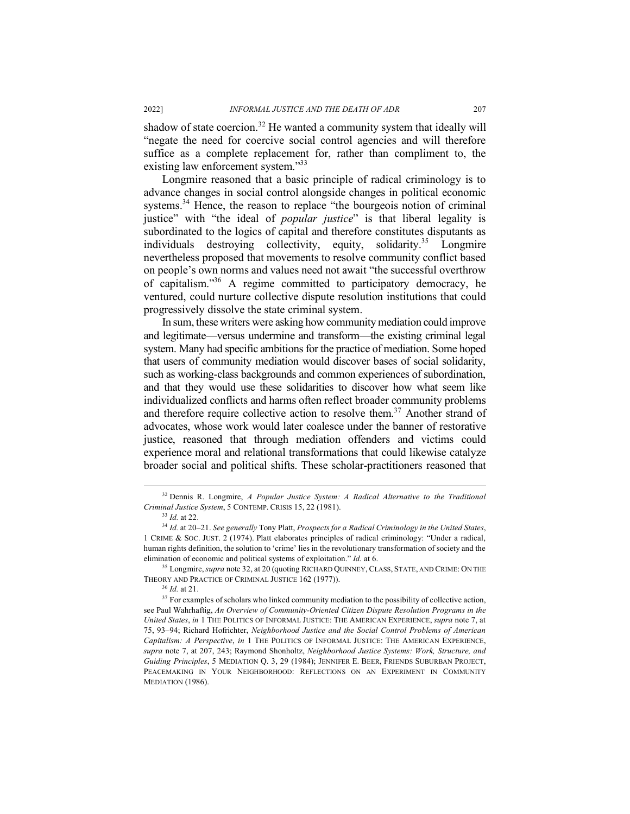shadow of state coercion.<sup>32</sup> He wanted a community system that ideally will "negate the need for coercive social control agencies and will therefore suffice as a complete replacement for, rather than compliment to, the existing law enforcement system."<sup>33</sup>

Longmire reasoned that a basic principle of radical criminology is to advance changes in social control alongside changes in political economic systems.<sup>34</sup> Hence, the reason to replace "the bourgeois notion of criminal justice" with "the ideal of *popular justice*" is that liberal legality is subordinated to the logics of capital and therefore constitutes disputants as individuals destroying collectivity, equity, solidarity.<sup>35</sup> Longmire nevertheless proposed that movements to resolve community conflict based on people's own norms and values need not await "the successful overthrow of capitalism." <sup>36</sup> A regime committed to participatory democracy, he ventured, could nurture collective dispute resolution institutions that could progressively dissolve the state criminal system.

In sum, these writers were asking how community mediation could improve and legitimate—versus undermine and transform—the existing criminal legal system. Many had specific ambitions for the practice of mediation. Some hoped that users of community mediation would discover bases of social solidarity, such as working-class backgrounds and common experiences of subordination, and that they would use these solidarities to discover how what seem like individualized conflicts and harms often reflect broader community problems and therefore require collective action to resolve them.<sup>37</sup> Another strand of advocates, whose work would later coalesce under the banner of restorative justice, reasoned that through mediation offenders and victims could experience moral and relational transformations that could likewise catalyze broader social and political shifts. These scholar-practitioners reasoned that

 <sup>32</sup> Dennis R. Longmire, *A Popular Justice System: A Radical Alternative to the Traditional Criminal Justice System*, 5 CONTEMP. CRISIS 15, 22 (1981).

<sup>33</sup> *Id.* at 22.

<sup>34</sup> *Id.* at 20–21. *See generally* Tony Platt, *Prospects for a Radical Criminology in the United States*, 1 CRIME & SOC. JUST. 2 (1974). Platt elaborates principles of radical criminology: "Under a radical, human rights definition, the solution to 'crime' lies in the revolutionary transformation of society and the elimination of economic and political systems of exploitation." *Id.* at 6.

<sup>35</sup> Longmire, *supra* note 32, at 20 (quoting RICHARD QUINNEY, CLASS, STATE, AND CRIME: ON THE THEORY AND PRACTICE OF CRIMINAL JUSTICE 162 (1977)).

<sup>36</sup> *Id.* at 21.

<sup>&</sup>lt;sup>37</sup> For examples of scholars who linked community mediation to the possibility of collective action, see Paul Wahrhaftig, *An Overview of Community-Oriented Citizen Dispute Resolution Programs in the United States*, *in* 1 THE POLITICS OF INFORMAL JUSTICE: THE AMERICAN EXPERIENCE, *supra* note 7, at 75, 93–94; Richard Hofrichter, *Neighborhood Justice and the Social Control Problems of American Capitalism: A Perspective*, *in* 1 THE POLITICS OF INFORMAL JUSTICE: THE AMERICAN EXPERIENCE, *supra* note 7, at 207, 243; Raymond Shonholtz, *Neighborhood Justice Systems: Work, Structure, and Guiding Principles*, 5 MEDIATION Q. 3, 29 (1984); JENNIFER E. BEER, FRIENDS SUBURBAN PROJECT, PEACEMAKING IN YOUR NEIGHBORHOOD: REFLECTIONS ON AN EXPERIMENT IN COMMUNITY MEDIATION (1986).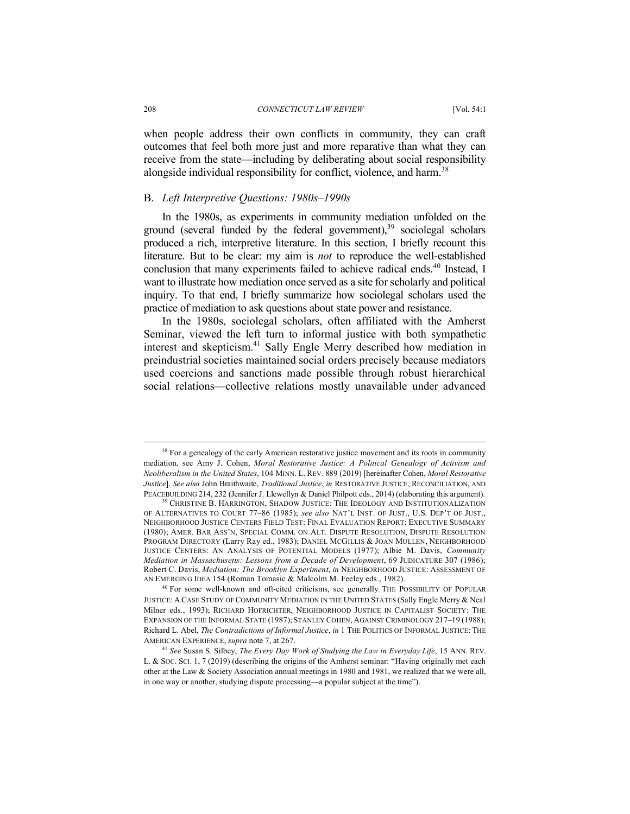when people address their own conflicts in community, they can craft outcomes that feel both more just and more reparative than what they can receive from the state—including by deliberating about social responsibility alongside individual responsibility for conflict, violence, and harm.<sup>38</sup>

#### B. *Left Interpretive Questions: 1980s–1990s*

In the 1980s, as experiments in community mediation unfolded on the ground (several funded by the federal government),  $39$  sociolegal scholars produced a rich, interpretive literature. In this section, I briefly recount this literature. But to be clear: my aim is *not* to reproduce the well-established conclusion that many experiments failed to achieve radical ends.<sup>40</sup> Instead, I want to illustrate how mediation once served as a site for scholarly and political inquiry. To that end, I briefly summarize how sociolegal scholars used the practice of mediation to ask questions about state power and resistance.

In the 1980s, sociolegal scholars, often affiliated with the Amherst Seminar, viewed the left turn to informal justice with both sympathetic interest and skepticism.<sup>41</sup> Sally Engle Merry described how mediation in preindustrial societies maintained social orders precisely because mediators used coercions and sanctions made possible through robust hierarchical social relations—collective relations mostly unavailable under advanced

<sup>&</sup>lt;sup>38</sup> For a genealogy of the early American restorative justice movement and its roots in community mediation, see Amy J. Cohen, *Moral Restorative Justice: A Political Genealogy of Activism and Neoliberalism in the United States*, 104 MINN. L. REV. 889 (2019) [hereinafter Cohen, *Moral Restorative Justice*]. *See also* John Braithwaite, *Traditional Justice*, *in* RESTORATIVE JUSTICE, RECONCILIATION, AND PEACEBUILDING 214, 232 (Jennifer J. Llewellyn & Daniel Philpott eds., 2014) (elaborating this argument).

<sup>39</sup> CHRISTINE B. HARRINGTON, SHADOW JUSTICE: THE IDEOLOGY AND INSTITUTIONALIZATION OF ALTERNATIVES TO COURT 77–86 (1985); *see also* NAT'L INST. OF JUST., U.S. DEP'T OF JUST., NEIGHBORHOOD JUSTICE CENTERS FIELD TEST: FINAL EVALUATION REPORT: EXECUTIVE SUMMARY (1980); AMER. BAR ASS'N, SPECIAL COMM. ON ALT. DISPUTE RESOLUTION, DISPUTE RESOLUTION PROGRAM DIRECTORY (Larry Ray ed., 1983); DANIEL MCGILLIS & JOAN MULLEN, NEIGHBORHOOD JUSTICE CENTERS: AN ANALYSIS OF POTENTIAL MODELS (1977); Albie M. Davis, *Community Mediation in Massachusetts: Lessons from a Decade of Development*, 69 JUDICATURE 307 (1986); Robert C. Davis, *Mediation: The Brooklyn Experiment*, *in* NEIGHBORHOOD JUSTICE: ASSESSMENT OF AN EMERGING IDEA 154 (Roman Tomasic & Malcolm M. Feeley eds., 1982).

<sup>&</sup>lt;sup>40</sup> For some well-known and oft-cited criticisms, see generally THE POSSIBILITY OF POPULAR JUSTICE: A CASE STUDY OF COMMUNITY MEDIATION IN THE UNITED STATES (Sally Engle Merry & Neal Milner eds., 1993); RICHARD HOFRICHTER, NEIGHBORHOOD JUSTICE IN CAPITALIST SOCIETY: THE EXPANSION OF THE INFORMAL STATE (1987); STANLEY COHEN, AGAINST CRIMINOLOGY 217–19 (1988); Richard L. Abel, *The Contradictions of Informal Justice*, *in* 1 THE POLITICS OF INFORMAL JUSTICE: THE AMERICAN EXPERIENCE, *supra* note 7, at 267. 41 *See* Susan S. Silbey, *The Every Day Work of Studying the Law in Everyday Life*, 15 ANN. REV.

L. & SOC. SCI. 1, 7 (2019) (describing the origins of the Amherst seminar: "Having originally met each other at the Law & Society Association annual meetings in 1980 and 1981, we realized that we were all, in one way or another, studying dispute processing—a popular subject at the time").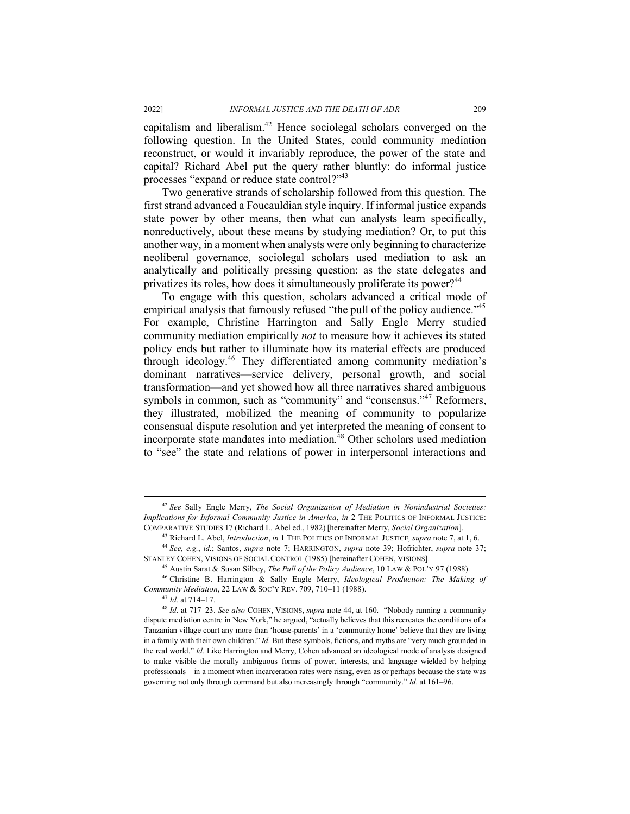capitalism and liberalism.42 Hence sociolegal scholars converged on the following question. In the United States, could community mediation reconstruct, or would it invariably reproduce, the power of the state and capital? Richard Abel put the query rather bluntly: do informal justice processes "expand or reduce state control?"43

Two generative strands of scholarship followed from this question. The first strand advanced a Foucauldian style inquiry. If informal justice expands state power by other means, then what can analysts learn specifically, nonreductively, about these means by studying mediation? Or, to put this another way, in a moment when analysts were only beginning to characterize neoliberal governance, sociolegal scholars used mediation to ask an analytically and politically pressing question: as the state delegates and privatizes its roles, how does it simultaneously proliferate its power?<sup>44</sup>

To engage with this question, scholars advanced a critical mode of empirical analysis that famously refused "the pull of the policy audience."<sup>45</sup> For example, Christine Harrington and Sally Engle Merry studied community mediation empirically *not* to measure how it achieves its stated policy ends but rather to illuminate how its material effects are produced through ideology.46 They differentiated among community mediation's dominant narratives—service delivery, personal growth, and social transformation—and yet showed how all three narratives shared ambiguous symbols in common, such as "community" and "consensus."<sup>47</sup> Reformers, they illustrated, mobilized the meaning of community to popularize consensual dispute resolution and yet interpreted the meaning of consent to incorporate state mandates into mediation. $48$  Other scholars used mediation to "see" the state and relations of power in interpersonal interactions and

<sup>47</sup> *Id.* at 714–17.

 <sup>42</sup> *See* Sally Engle Merry, *The Social Organization of Mediation in Nonindustrial Societies: Implications for Informal Community Justice in America*, *in* 2 THE POLITICS OF INFORMAL JUSTICE: COMPARATIVE STUDIES 17 (Richard L. Abel ed., 1982) [hereinafter Merry, *Social Organization*].

<sup>&</sup>lt;sup>44</sup> See, e.g., id.; Santos, supra note 7; HARRINGTON, supra note 39; Hofrichter, supra note 37; STANLEY COHEN, VISIONS OF SOCIAL CONTROL (1985) [hereinafter COHEN, VISIONS]. 45 Austin Sarat & Susan Silbey, *The Pull of the Policy Audience*, 10 LAW & POL'Y <sup>97</sup> (1988).

<sup>46</sup> Christine B. Harrington & Sally Engle Merry, *Ideological Production: The Making of Community Mediation*, 22 LAW & SOC'Y REV. 709, 710–11 (1988).

<sup>48</sup> *Id.* at 717–23. *See also* COHEN, VISIONS, *supra* note 44, at 160. "Nobody running a community dispute mediation centre in New York," he argued, "actually believes that this recreates the conditions of a Tanzanian village court any more than 'house-parents' in a 'community home' believe that they are living in a family with their own children." *Id.* But these symbols, fictions, and myths are "very much grounded in the real world." *Id.* Like Harrington and Merry, Cohen advanced an ideological mode of analysis designed to make visible the morally ambiguous forms of power, interests, and language wielded by helping professionals—in a moment when incarceration rates were rising, even as or perhaps because the state was governing not only through command but also increasingly through "community." *Id.* at 161–96.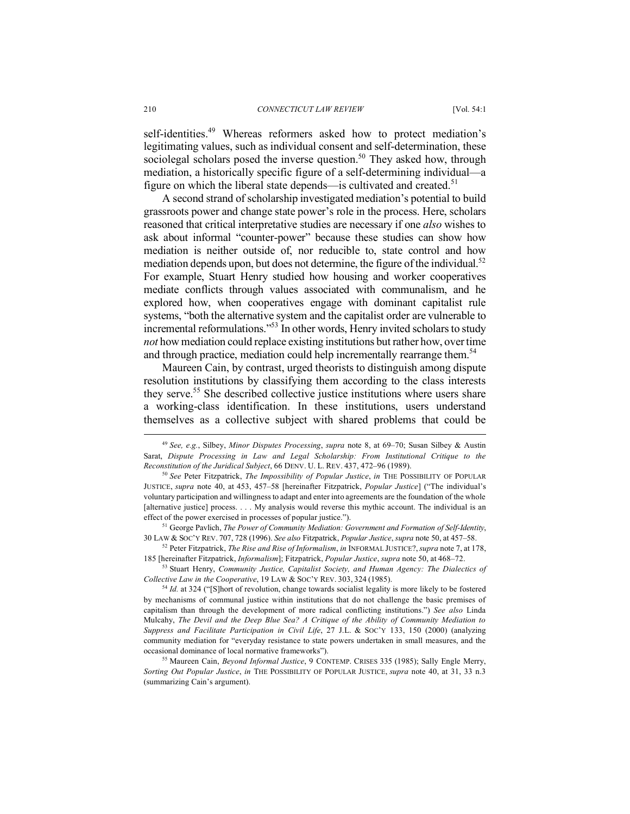#### 210 *CONNECTICUT LAW REVIEW* [Vol. 54:1

self-identities.<sup>49</sup> Whereas reformers asked how to protect mediation's legitimating values, such as individual consent and self-determination, these sociolegal scholars posed the inverse question.<sup>50</sup> They asked how, through mediation, a historically specific figure of a self-determining individual—a figure on which the liberal state depends—is cultivated and created.<sup>51</sup>

A second strand of scholarship investigated mediation's potential to build grassroots power and change state power's role in the process. Here, scholars reasoned that critical interpretative studies are necessary if one *also* wishes to ask about informal "counter-power" because these studies can show how mediation is neither outside of, nor reducible to, state control and how mediation depends upon, but does not determine, the figure of the individual.<sup>52</sup> For example, Stuart Henry studied how housing and worker cooperatives mediate conflicts through values associated with communalism, and he explored how, when cooperatives engage with dominant capitalist rule systems, "both the alternative system and the capitalist order are vulnerable to incremental reformulations."<sup>53</sup> In other words, Henry invited scholars to study *not* how mediation could replace existing institutions but rather how, over time and through practice, mediation could help incrementally rearrange them.<sup>54</sup>

Maureen Cain, by contrast, urged theorists to distinguish among dispute resolution institutions by classifying them according to the class interests they serve. <sup>55</sup> She described collective justice institutions where users share a working-class identification. In these institutions, users understand themselves as a collective subject with shared problems that could be

<sup>53</sup> Stuart Henry, *Community Justice, Capitalist Society, and Human Agency: The Dialectics of Collective Law in the Cooperative*, 19 LAW & SOC'Y REV. 303, 324 (1985).

 <sup>49</sup> *See, e.g.*, Silbey, *Minor Disputes Processing*, *supra* note 8, at 69–70; Susan Silbey & Austin Sarat, *Dispute Processing in Law and Legal Scholarship: From Institutional Critique to the Reconstitution of the Juridical Subject*, 66 DENV. U. L. REV. 437, 472–96 (1989).

<sup>50</sup> *See* Peter Fitzpatrick, *The Impossibility of Popular Justice*, *in* THE POSSIBILITY OF POPULAR JUSTICE, *supra* note 40, at 453, 457–58 [hereinafter Fitzpatrick, *Popular Justice*] ("The individual's voluntary participation and willingness to adapt and enter into agreements are the foundation of the whole [alternative justice] process. . . . My analysis would reverse this mythic account. The individual is an effect of the power exercised in processes of popular justice.").

<sup>51</sup> George Pavlich, *The Power of Community Mediation: Government and Formation of Self-Identity*, 30 LAW & SOC'Y REV. 707, 728 (1996). *See also* Fitzpatrick, *Popular Justice*, *supra* note 50, at 457–58.

<sup>52</sup> Peter Fitzpatrick, *The Rise and Rise of Informalism*, *in* INFORMAL JUSTICE?,*supra* note 7, at 178, 185 [hereinafter Fitzpatrick, *Informalism*]; Fitzpatrick, *Popular Justice*, *supra* note 50, at 468–72.

<sup>&</sup>lt;sup>54</sup> *Id.* at 324 ("[S]hort of revolution, change towards socialist legality is more likely to be fostered by mechanisms of communal justice within institutions that do not challenge the basic premises of capitalism than through the development of more radical conflicting institutions.") *See also* Linda Mulcahy, *The Devil and the Deep Blue Sea? A Critique of the Ability of Community Mediation to Suppress and Facilitate Participation in Civil Life*, 27 J.L. & SOC'Y 133, 150 (2000) (analyzing community mediation for "everyday resistance to state powers undertaken in small measures, and the occasional dominance of local normative frameworks").

<sup>55</sup> Maureen Cain, *Beyond Informal Justice*, 9 CONTEMP. CRISES 335 (1985); Sally Engle Merry, *Sorting Out Popular Justice*, *in* THE POSSIBILITY OF POPULAR JUSTICE, *supra* note 40, at 31, 33 n.3 (summarizing Cain's argument).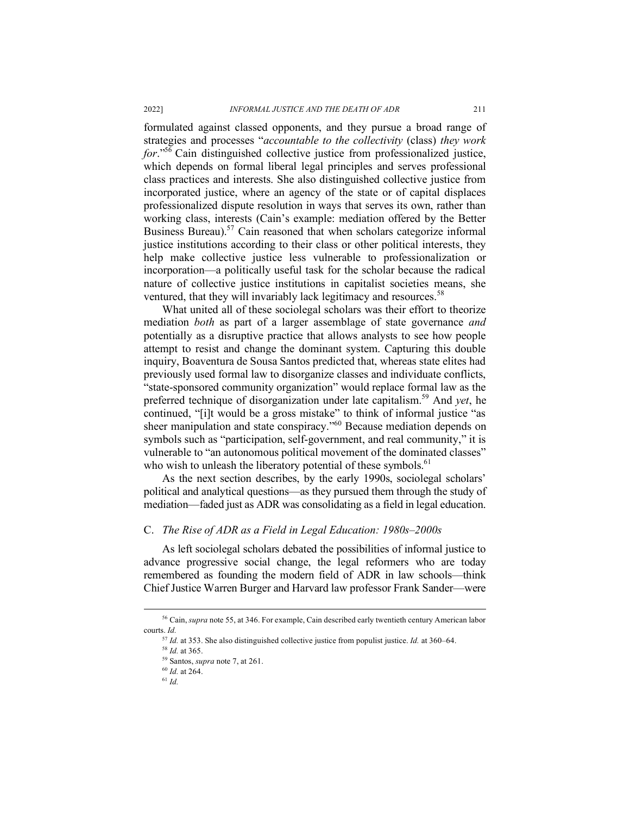formulated against classed opponents, and they pursue a broad range of strategies and processes "*accountable to the collectivity* (class) *they work for*." <sup>56</sup> Cain distinguished collective justice from professionalized justice, which depends on formal liberal legal principles and serves professional class practices and interests. She also distinguished collective justice from incorporated justice, where an agency of the state or of capital displaces professionalized dispute resolution in ways that serves its own, rather than working class, interests (Cain's example: mediation offered by the Better Business Bureau).<sup>57</sup> Cain reasoned that when scholars categorize informal justice institutions according to their class or other political interests, they help make collective justice less vulnerable to professionalization or incorporation—a politically useful task for the scholar because the radical nature of collective justice institutions in capitalist societies means, she ventured, that they will invariably lack legitimacy and resources.<sup>58</sup>

What united all of these sociolegal scholars was their effort to theorize mediation *both* as part of a larger assemblage of state governance *and* potentially as a disruptive practice that allows analysts to see how people attempt to resist and change the dominant system. Capturing this double inquiry, Boaventura de Sousa Santos predicted that, whereas state elites had previously used formal law to disorganize classes and individuate conflicts, "state-sponsored community organization" would replace formal law as the preferred technique of disorganization under late capitalism.59 And *yet*, he continued, "[i]t would be a gross mistake" to think of informal justice "as sheer manipulation and state conspiracy."60 Because mediation depends on symbols such as "participation, self-government, and real community," it is vulnerable to "an autonomous political movement of the dominated classes" who wish to unleash the liberatory potential of these symbols.<sup>61</sup>

As the next section describes, by the early 1990s, sociolegal scholars' political and analytical questions—as they pursued them through the study of mediation—faded just as ADR was consolidating as a field in legal education.

### C. *The Rise of ADR as a Field in Legal Education: 1980s–2000s*

As left sociolegal scholars debated the possibilities of informal justice to advance progressive social change, the legal reformers who are today remembered as founding the modern field of ADR in law schools—think Chief Justice Warren Burger and Harvard law professor Frank Sander—were

 <sup>56</sup> Cain, *supra* note 55, at 346. For example, Cain described early twentieth century American labor courts. *Id.*

<sup>57</sup> *Id.* at 353. She also distinguished collective justice from populist justice. *Id.* at 360–64.

<sup>58</sup> *Id.* at 365.

<sup>59</sup> Santos, *supra* note 7, at 261.

<sup>60</sup> *Id.* at 264.

<sup>61</sup> *Id.*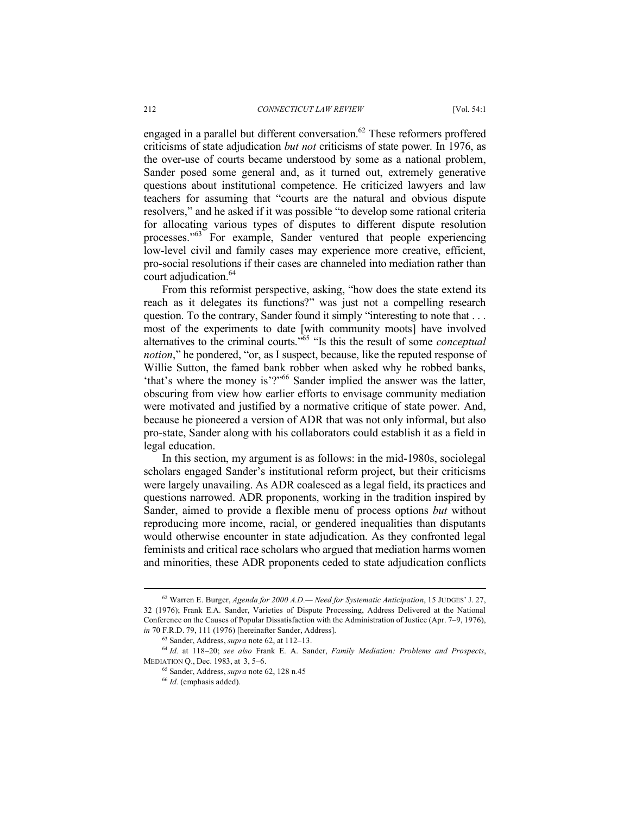engaged in a parallel but different conversation.<sup>62</sup> These reformers proffered criticisms of state adjudication *but not* criticisms of state power. In 1976, as the over-use of courts became understood by some as a national problem, Sander posed some general and, as it turned out, extremely generative questions about institutional competence. He criticized lawyers and law teachers for assuming that "courts are the natural and obvious dispute resolvers," and he asked if it was possible "to develop some rational criteria for allocating various types of disputes to different dispute resolution processes."63 For example, Sander ventured that people experiencing low-level civil and family cases may experience more creative, efficient, pro-social resolutions if their cases are channeled into mediation rather than court adjudication. 64

From this reformist perspective, asking, "how does the state extend its reach as it delegates its functions?" was just not a compelling research question. To the contrary, Sander found it simply "interesting to note that . . . most of the experiments to date [with community moots] have involved alternatives to the criminal courts."65 "Is this the result of some *conceptual notion*," he pondered, "or, as I suspect, because, like the reputed response of Willie Sutton, the famed bank robber when asked why he robbed banks, 'that's where the money is'?"<sup>66</sup> Sander implied the answer was the latter, obscuring from view how earlier efforts to envisage community mediation were motivated and justified by a normative critique of state power. And, because he pioneered a version of ADR that was not only informal, but also pro-state, Sander along with his collaborators could establish it as a field in legal education.

In this section, my argument is as follows: in the mid-1980s, sociolegal scholars engaged Sander's institutional reform project, but their criticisms were largely unavailing. As ADR coalesced as a legal field, its practices and questions narrowed. ADR proponents, working in the tradition inspired by Sander, aimed to provide a flexible menu of process options *but* without reproducing more income, racial, or gendered inequalities than disputants would otherwise encounter in state adjudication. As they confronted legal feminists and critical race scholars who argued that mediation harms women and minorities, these ADR proponents ceded to state adjudication conflicts

 <sup>62</sup> Warren E. Burger, *Agenda for 2000 A.D.— Need for Systematic Anticipation*, 15 JUDGES' J. 27, 32 (1976); Frank E.A. Sander, Varieties of Dispute Processing, Address Delivered at the National Conference on the Causes of Popular Dissatisfaction with the Administration of Justice (Apr. 7–9, 1976), *in* 70 F.R.D. 79, 111 (1976) [hereinafter Sander, Address].

<sup>63</sup> Sander, Address, *supra* note 62, at 112–13.

<sup>64</sup> *Id.* at 118–20; *see also* Frank E. A. Sander, *Family Mediation: Problems and Prospects*, MEDIATION Q., Dec. 1983, at 3, 5–6.

<sup>65</sup> Sander, Address, *supra* note 62, 128 n.45

<sup>66</sup> *Id.* (emphasis added).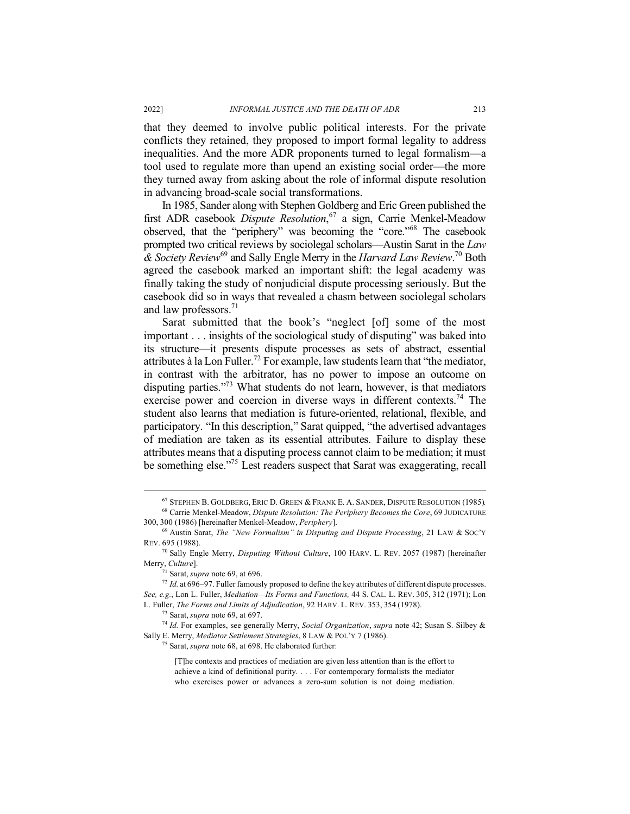that they deemed to involve public political interests. For the private conflicts they retained, they proposed to import formal legality to address inequalities. And the more ADR proponents turned to legal formalism—a tool used to regulate more than upend an existing social order—the more they turned away from asking about the role of informal dispute resolution in advancing broad-scale social transformations.

In 1985, Sander along with Stephen Goldberg and Eric Green published the first ADR casebook *Dispute Resolution*, <sup>67</sup> a sign, Carrie Menkel-Meadow observed, that the "periphery" was becoming the "core."68 The casebook prompted two critical reviews by sociolegal scholars—Austin Sarat in the *Law & Society Review*<sup>69</sup> and Sally Engle Merry in the *Harvard Law Review*. <sup>70</sup> Both agreed the casebook marked an important shift: the legal academy was finally taking the study of nonjudicial dispute processing seriously. But the casebook did so in ways that revealed a chasm between sociolegal scholars and law professors. $71$ 

Sarat submitted that the book's "neglect [of] some of the most important . . . insights of the sociological study of disputing" was baked into its structure—it presents dispute processes as sets of abstract, essential attributes à la Lon Fuller.<sup>72</sup> For example, law students learn that "the mediator, in contrast with the arbitrator, has no power to impose an outcome on disputing parties."73 What students do not learn, however, is that mediators exercise power and coercion in diverse ways in different contexts.<sup>74</sup> The student also learns that mediation is future-oriented, relational, flexible, and participatory. "In this description," Sarat quipped, "the advertised advantages of mediation are taken as its essential attributes. Failure to display these attributes means that a disputing process cannot claim to be mediation; it must be something else."75 Lest readers suspect that Sarat was exaggerating, recall

[T]he contexts and practices of mediation are given less attention than is the effort to achieve a kind of definitional purity. . . . For contemporary formalists the mediator who exercises power or advances a zero-sum solution is not doing mediation.

 <sup>67</sup> STEPHEN B. GOLDBERG, ERIC D. GREEN & FRANK E. A. SANDER, DISPUTE RESOLUTION (1985)*.* <sup>68</sup> Carrie Menkel-Meadow, *Dispute Resolution: The Periphery Becomes the Core*, 69 JUDICATURE

<sup>300, 300 (1986)</sup> [hereinafter Menkel-Meadow, *Periphery*]. 69 Austin Sarat, *The "New Formalism" in Disputing and Dispute Processing*, 21 LAW & SOC'Y

REV. 695 (1988).

<sup>70</sup> Sally Engle Merry, *Disputing Without Culture*, 100 HARV. L. REV. 2057 (1987) [hereinafter Merry, *Culture*].

<sup>&</sup>lt;sup>71</sup> Sarat, *supra* note 69, at 696.<br><sup>72</sup> *Id.* at 696–97. Fuller famously proposed to define the key attributes of different dispute processes. *See, e.g.*, Lon L. Fuller, *Mediation—Its Forms and Functions,* 44 S. CAL. L. REV. 305, 312 (1971); Lon L. Fuller, *The Forms and Limits of Adjudication*, 92 HARV. L. REV. 353, 354 (1978).

<sup>73</sup> Sarat, *supra* note 69, at 697.

<sup>74</sup> *Id.* For examples, see generally Merry, *Social Organization*, *supra* note 42; Susan S. Silbey & Sally E. Merry, *Mediator Settlement Strategies*, 8 LAW & POL'Y 7 (1986). 75 Sarat, *supra* note 68, at 698. He elaborated further: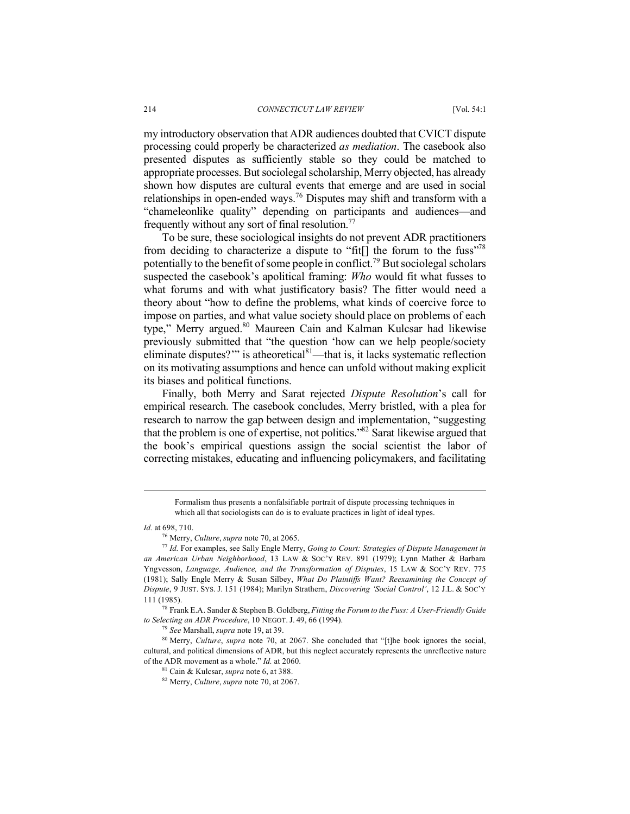my introductory observation that ADR audiences doubted that CVICT dispute processing could properly be characterized *as mediation*. The casebook also presented disputes as sufficiently stable so they could be matched to appropriate processes. But sociolegal scholarship, Merry objected, has already shown how disputes are cultural events that emerge and are used in social relationships in open-ended ways.76 Disputes may shift and transform with a "chameleonlike quality" depending on participants and audiences—and frequently without any sort of final resolution.<sup>77</sup>

To be sure, these sociological insights do not prevent ADR practitioners from deciding to characterize a dispute to "fit[] the forum to the fuss"<sup>78</sup> potentially to the benefit of some people in conflict.79 But sociolegal scholars suspected the casebook's apolitical framing: *Who* would fit what fusses to what forums and with what justificatory basis? The fitter would need a theory about "how to define the problems, what kinds of coercive force to impose on parties, and what value society should place on problems of each type," Merry argued.<sup>80</sup> Maureen Cain and Kalman Kulcsar had likewise previously submitted that "the question 'how can we help people/society eliminate disputes?"" is atheoretical $81$ —that is, it lacks systematic reflection on its motivating assumptions and hence can unfold without making explicit its biases and political functions.

Finally, both Merry and Sarat rejected *Dispute Resolution*'s call for empirical research. The casebook concludes, Merry bristled, with a plea for research to narrow the gap between design and implementation, "suggesting that the problem is one of expertise, not politics."82 Sarat likewise argued that the book's empirical questions assign the social scientist the labor of correcting mistakes, educating and influencing policymakers, and facilitating

Formalism thus presents a nonfalsifiable portrait of dispute processing techniques in which all that sociologists can do is to evaluate practices in light of ideal types.

*Id.* at 698, 710.

<sup>&</sup>lt;sup>76</sup> Merry, *Culture*, *supra* note 70, at 2065.<br><sup>77</sup> *Id.* For examples, see Sally Engle Merry, *Going to Court: Strategies of Dispute Management in an American Urban Neighborhood*, 13 LAW & SOC'Y REV. 891 (1979); Lynn Mather & Barbara Yngvesson, *Language, Audience, and the Transformation of Disputes*, 15 LAW & SOC'Y REV. 775 (1981); Sally Engle Merry & Susan Silbey, *What Do Plaintiffs Want? Reexamining the Concept of Dispute*, 9 JUST. SYS. J. 151 (1984); Marilyn Strathern, *Discovering 'Social Control'*, 12 J.L. & SOC'Y 111 (1985).

<sup>78</sup> Frank E.A. Sander & Stephen B. Goldberg, *Fitting the Forum to the Fuss: A User-Friendly Guide to Selecting an ADR Procedure*, 10 NEGOT. J. 49, 66 (1994).

<sup>79</sup> *See* Marshall, *supra* note 19, at 39.

<sup>80</sup> Merry, *Culture*, *supra* note 70, at 2067. She concluded that "[t]he book ignores the social, cultural, and political dimensions of ADR, but this neglect accurately represents the unreflective nature of the ADR movement as a whole." *Id.* at 2060.

<sup>81</sup> Cain & Kulcsar, *supra* note 6, at 388.

<sup>82</sup> Merry, *Culture*, *supra* note 70, at 2067.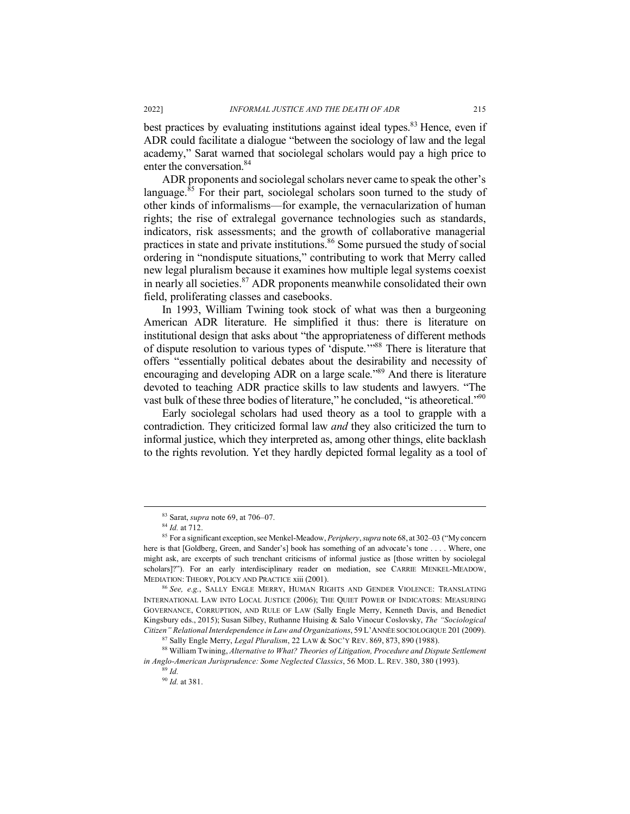best practices by evaluating institutions against ideal types.<sup>83</sup> Hence, even if ADR could facilitate a dialogue "between the sociology of law and the legal academy," Sarat warned that sociolegal scholars would pay a high price to enter the conversation. 84

ADR proponents and sociolegal scholars never came to speak the other's language.<sup>85</sup> For their part, sociolegal scholars soon turned to the study of other kinds of informalisms—for example, the vernacularization of human rights; the rise of extralegal governance technologies such as standards, indicators, risk assessments; and the growth of collaborative managerial practices in state and private institutions. <sup>86</sup> Some pursued the study of social ordering in "nondispute situations," contributing to work that Merry called new legal pluralism because it examines how multiple legal systems coexist in nearly all societies.87 ADR proponents meanwhile consolidated their own field, proliferating classes and casebooks.

In 1993, William Twining took stock of what was then a burgeoning American ADR literature. He simplified it thus: there is literature on institutional design that asks about "the appropriateness of different methods of dispute resolution to various types of 'dispute.'"88 There is literature that offers "essentially political debates about the desirability and necessity of encouraging and developing ADR on a large scale.<sup>889</sup> And there is literature devoted to teaching ADR practice skills to law students and lawyers. "The vast bulk of these three bodies of literature," he concluded, "is atheoretical."<sup>90</sup>

Early sociolegal scholars had used theory as a tool to grapple with a contradiction. They criticized formal law *and* they also criticized the turn to informal justice, which they interpreted as, among other things, elite backlash to the rights revolution. Yet they hardly depicted formal legality as a tool of

 <sup>83</sup> Sarat, *supra* note 69, at 706–07.

<sup>84</sup> *Id.* at 712.

<sup>85</sup> For a significant exception, see Menkel-Meadow, *Periphery*,*supra* note 68, at 302–03 ("My concern here is that [Goldberg, Green, and Sander's] book has something of an advocate's tone . . . . Where, one might ask, are excerpts of such trenchant criticisms of informal justice as [those written by sociolegal scholars]?"). For an early interdisciplinary reader on mediation, see CARRIE MENKEL-MEADOW, MEDIATION: THEORY, POLICY AND PRACTICE xiii (2001). 86 *See, e.g.*, SALLY ENGLE MERRY, HUMAN RIGHTS AND GENDER VIOLENCE: TRANSLATING

INTERNATIONAL LAW INTO LOCAL JUSTICE (2006); THE QUIET POWER OF INDICATORS: MEASURING GOVERNANCE, CORRUPTION, AND RULE OF LAW (Sally Engle Merry, Kenneth Davis, and Benedict Kingsbury eds., 2015); Susan Silbey, Ruthanne Huising & Salo Vinocur Coslovsky, *The "Sociological Citizen" Relational Interdependence in Law and Organizations*, 59 L'ANNÉE SOCIOLOGIQUE 201 (2009).

<sup>&</sup>lt;sup>87</sup> Sally Engle Merry, *Legal Pluralism*, 22 LAW & SOC'Y REV. 869, 873, 890 (1988). 88 William Twining, *Alternative to What? Theories of Litigation, Procedure and Dispute Settlement in Anglo-American Jurisprudence: Some Neglected Classics*, 56 MOD. L. REV. 380, 380 (1993). 89 *Id.*

<sup>90</sup> *Id.* at 381.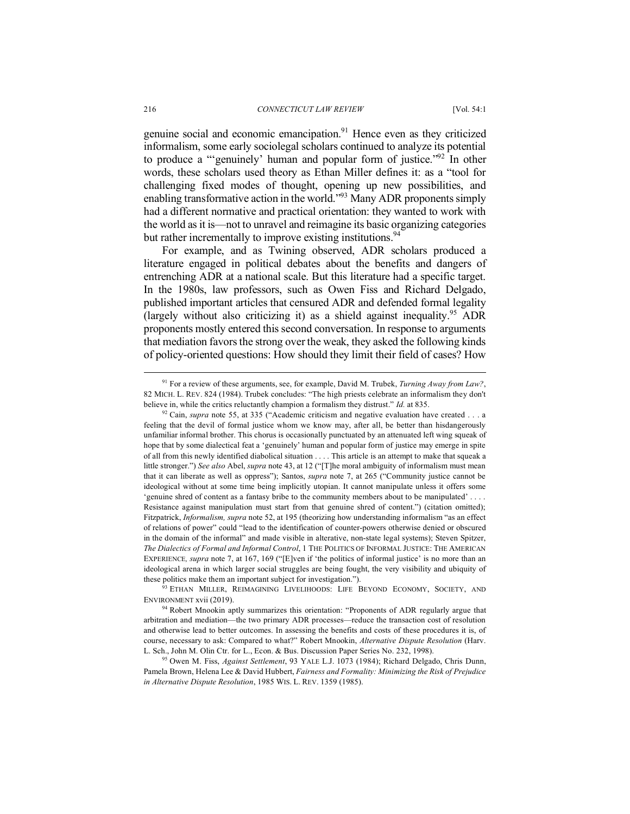genuine social and economic emancipation. $91$  Hence even as they criticized informalism, some early sociolegal scholars continued to analyze its potential to produce a "'genuinely' human and popular form of justice."92 In other words, these scholars used theory as Ethan Miller defines it: as a "tool for challenging fixed modes of thought, opening up new possibilities, and enabling transformative action in the world."<sup>93</sup> Many ADR proponents simply had a different normative and practical orientation: they wanted to work with the world as it is—not to unravel and reimagine its basic organizing categories but rather incrementally to improve existing institutions.<sup>94</sup>

For example, and as Twining observed, ADR scholars produced a literature engaged in political debates about the benefits and dangers of entrenching ADR at a national scale. But this literature had a specific target. In the 1980s, law professors, such as Owen Fiss and Richard Delgado, published important articles that censured ADR and defended formal legality (largely without also criticizing it) as a shield against inequality. <sup>95</sup> ADR proponents mostly entered this second conversation. In response to arguments that mediation favors the strong over the weak, they asked the following kinds of policy-oriented questions: How should they limit their field of cases? How

93 ETHAN MILLER, REIMAGINING LIVELIHOODS: LIFE BEYOND ECONOMY, SOCIETY, AND ENVIRONMENT xvii (2019).

 <sup>91</sup> For a review of these arguments, see, for example, David M. Trubek, *Turning Away from Law?*, 82 MICH. L. REV. 824 (1984). Trubek concludes: "The high priests celebrate an informalism they don't believe in, while the critics reluctantly champion a formalism they distrust." *Id.* at 835.<br><sup>92</sup> Cain, *supra* note 55, at 335 ("Academic criticism and negative evaluation have created . . . a

feeling that the devil of formal justice whom we know may, after all, be better than hisdangerously unfamiliar informal brother. This chorus is occasionally punctuated by an attenuated left wing squeak of hope that by some dialectical feat a 'genuinely' human and popular form of justice may emerge in spite of all from this newly identified diabolical situation . . . . This article is an attempt to make that squeak a little stronger.") *See also* Abel, *supra* note 43, at 12 ("[T]he moral ambiguity of informalism must mean that it can liberate as well as oppress"); Santos, *supra* note 7, at 265 ("Community justice cannot be ideological without at some time being implicitly utopian. It cannot manipulate unless it offers some 'genuine shred of content as a fantasy bribe to the community members about to be manipulated' . . . . Resistance against manipulation must start from that genuine shred of content.") (citation omitted); Fitzpatrick, *Informalism, supra* note 52, at 195 (theorizing how understanding informalism "as an effect of relations of power" could "lead to the identification of counter-powers otherwise denied or obscured in the domain of the informal" and made visible in alterative, non-state legal systems); Steven Spitzer, *The Dialectics of Formal and Informal Control*, 1 THE POLITICS OF INFORMAL JUSTICE: THE AMERICAN EXPERIENCE*, supra* note 7, at 167, 169 ("[E]ven if 'the politics of informal justice' is no more than an ideological arena in which larger social struggles are being fought, the very visibility and ubiquity of these politics make them an important subject for investigation.").

<sup>&</sup>lt;sup>94</sup> Robert Mnookin aptly summarizes this orientation: "Proponents of ADR regularly argue that arbitration and mediation—the two primary ADR processes—reduce the transaction cost of resolution and otherwise lead to better outcomes. In assessing the benefits and costs of these procedures it is, of course, necessary to ask: Compared to what?" Robert Mnookin, *Alternative Dispute Resolution* (Harv. L. Sch., John M. Olin Ctr. for L., Econ. & Bus. Discussion Paper Series No. 232, 1998).

<sup>95</sup> Owen M. Fiss, *Against Settlement*, 93 YALE L.J. 1073 (1984); Richard Delgado, Chris Dunn, Pamela Brown, Helena Lee & David Hubbert, *Fairness and Formality: Minimizing the Risk of Prejudice in Alternative Dispute Resolution*, 1985 WIS. L. REV. 1359 (1985).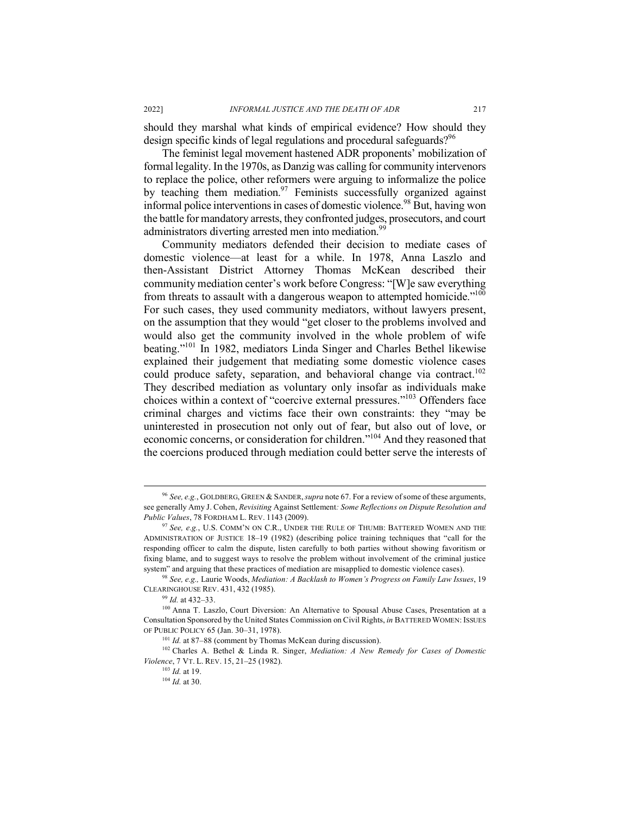should they marshal what kinds of empirical evidence? How should they design specific kinds of legal regulations and procedural safeguards?<sup>96</sup>

The feminist legal movement hastened ADR proponents' mobilization of formal legality. In the 1970s, as Danzig was calling for community intervenors to replace the police, other reformers were arguing to informalize the police by teaching them mediation.<sup>97</sup> Feminists successfully organized against informal police interventions in cases of domestic violence.<sup>98</sup> But, having won the battle for mandatory arrests, they confronted judges, prosecutors, and court administrators diverting arrested men into mediation.<sup>99</sup>

Community mediators defended their decision to mediate cases of domestic violence—at least for a while. In 1978, Anna Laszlo and then-Assistant District Attorney Thomas McKean described their community mediation center's work before Congress: "[W]e saw everything from threats to assault with a dangerous weapon to attempted homicide."<sup>100</sup> For such cases, they used community mediators, without lawyers present, on the assumption that they would "get closer to the problems involved and would also get the community involved in the whole problem of wife beating."101 In 1982, mediators Linda Singer and Charles Bethel likewise explained their judgement that mediating some domestic violence cases could produce safety, separation, and behavioral change via contract.<sup>102</sup> They described mediation as voluntary only insofar as individuals make choices within a context of "coercive external pressures."103 Offenders face criminal charges and victims face their own constraints: they "may be uninterested in prosecution not only out of fear, but also out of love, or economic concerns, or consideration for children."104 And they reasoned that the coercions produced through mediation could better serve the interests of

 <sup>96</sup> *See, e.g.*, GOLDBERG, GREEN & SANDER,*supra* note 67. For a review of some of these arguments, see generally Amy J. Cohen, *Revisiting* Against Settlement*: Some Reflections on Dispute Resolution and Public Values*, 78 FORDHAM L. REV. 1143 (2009).

<sup>97</sup> *See, e.g.*, U.S. COMM'N ON C.R., UNDER THE RULE OF THUMB: BATTERED WOMEN AND THE ADMINISTRATION OF JUSTICE 18–19 (1982) (describing police training techniques that "call for the responding officer to calm the dispute, listen carefully to both parties without showing favoritism or fixing blame, and to suggest ways to resolve the problem without involvement of the criminal justice system" and arguing that these practices of mediation are misapplied to domestic violence cases).

<sup>98</sup> *See, e.g.,* Laurie Woods, *Mediation: A Backlash to Women's Progress on Family Law Issues*, 19 CLEARINGHOUSE REV. 431, 432 (1985).

<sup>99</sup> *Id.* at 432–33.

<sup>&</sup>lt;sup>100</sup> Anna T. Laszlo, Court Diversion: An Alternative to Spousal Abuse Cases, Presentation at a Consultation Sponsored by the United States Commission on Civil Rights, *in* BATTERED WOMEN: ISSUES OF PUBLIC POLICY 65 (Jan. 30–31, 1978).

<sup>&</sup>lt;sup>101</sup> *Id.* at 87–88 (comment by Thomas McKean during discussion).<br><sup>102</sup> Charles A. Bethel & Linda R. Singer, *Mediation: A New Remedy for Cases of Domestic Violence*, 7 VT. L. REV. 15, 21–25 (1982).

<sup>103</sup> *Id.* at 19.

<sup>104</sup> *Id.* at 30.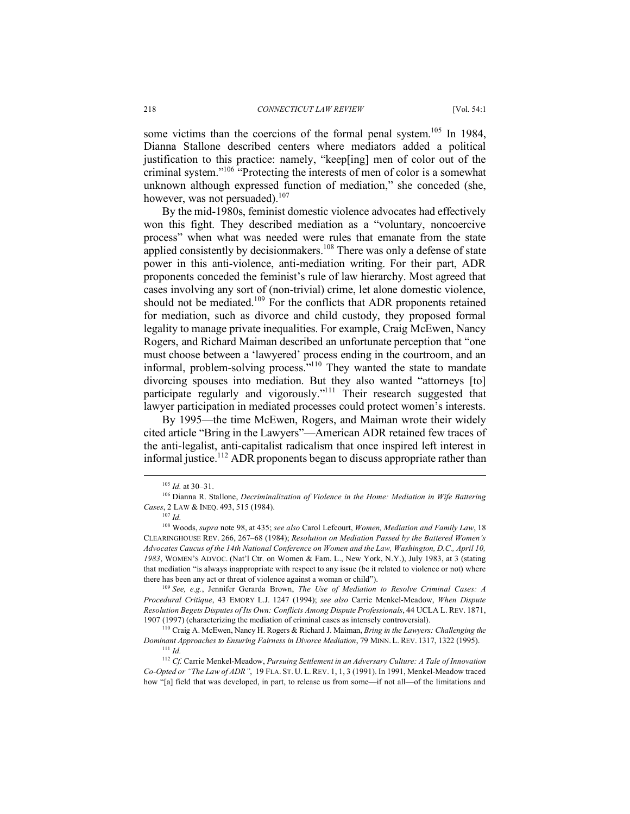some victims than the coercions of the formal penal system.<sup>105</sup> In 1984, Dianna Stallone described centers where mediators added a political justification to this practice: namely, "keep[ing] men of color out of the criminal system."106 "Protecting the interests of men of color is a somewhat unknown although expressed function of mediation," she conceded (she, however, was not persuaded). $107$ 

By the mid-1980s, feminist domestic violence advocates had effectively won this fight. They described mediation as a "voluntary, noncoercive process" when what was needed were rules that emanate from the state applied consistently by decision makers.<sup>108</sup> There was only a defense of state power in this anti-violence, anti-mediation writing. For their part, ADR proponents conceded the feminist's rule of law hierarchy. Most agreed that cases involving any sort of (non-trivial) crime, let alone domestic violence, should not be mediated.<sup>109</sup> For the conflicts that ADR proponents retained for mediation, such as divorce and child custody, they proposed formal legality to manage private inequalities. For example, Craig McEwen, Nancy Rogers, and Richard Maiman described an unfortunate perception that "one must choose between a 'lawyered' process ending in the courtroom, and an informal, problem-solving process."<sup>110</sup> They wanted the state to mandate divorcing spouses into mediation. But they also wanted "attorneys [to] participate regularly and vigorously."111 Their research suggested that lawyer participation in mediated processes could protect women's interests.

By 1995—the time McEwen, Rogers, and Maiman wrote their widely cited article "Bring in the Lawyers"—American ADR retained few traces of the anti-legalist, anti-capitalist radicalism that once inspired left interest in informal justice.<sup>112</sup> ADR proponents began to discuss appropriate rather than

<sup>109</sup> *See, e.g.*, Jennifer Gerarda Brown, *The Use of Mediation to Resolve Criminal Cases: A Procedural Critique*, 43 EMORY L.J. 1247 (1994); *see also* Carrie Menkel-Meadow, *When Dispute Resolution Begets Disputes of Its Own: Conflicts Among Dispute Professionals*, 44 UCLA L. REV. 1871, 1907 (1997) (characterizing the mediation of criminal cases as intensely controversial).

 <sup>105</sup> *Id.* at 30–31.

<sup>106</sup> Dianna R. Stallone, *Decriminalization of Violence in the Home: Mediation in Wife Battering Cases*, 2 LAW & INEQ. 493, 515 (1984).

<sup>108</sup> Woods, *supra* note 98, at 435; *see also* Carol Lefcourt, *Women, Mediation and Family Law*, 18 CLEARINGHOUSE REV. 266, 267–68 (1984); *Resolution on Mediation Passed by the Battered Women's Advocates Caucus of the 14th National Conference on Women and the Law, Washington, D.C., April 10, 1983*, WOMEN'S ADVOC. (Nat'l Ctr. on Women & Fam. L., New York, N.Y.), July 1983, at 3 (stating that mediation "is always inappropriate with respect to any issue (be it related to violence or not) where there has been any act or threat of violence against a woman or child").

<sup>110</sup> Craig A. McEwen, Nancy H. Rogers & Richard J. Maiman, *Bring in the Lawyers: Challenging the Dominant Approaches to Ensuring Fairness in Divorce Mediation*, 79 MINN.L. REV. 1317, 1322 (1995). 111 *Id.*

<sup>112</sup> *Cf.* Carrie Menkel-Meadow, *Pursuing Settlement in an Adversary Culture: A Tale of Innovation Co-Opted or "The Law of ADR"*, 19 FLA. ST. U. L. REV. 1, 1, 3 (1991). In 1991, Menkel-Meadow traced how "[a] field that was developed, in part, to release us from some—if not all—of the limitations and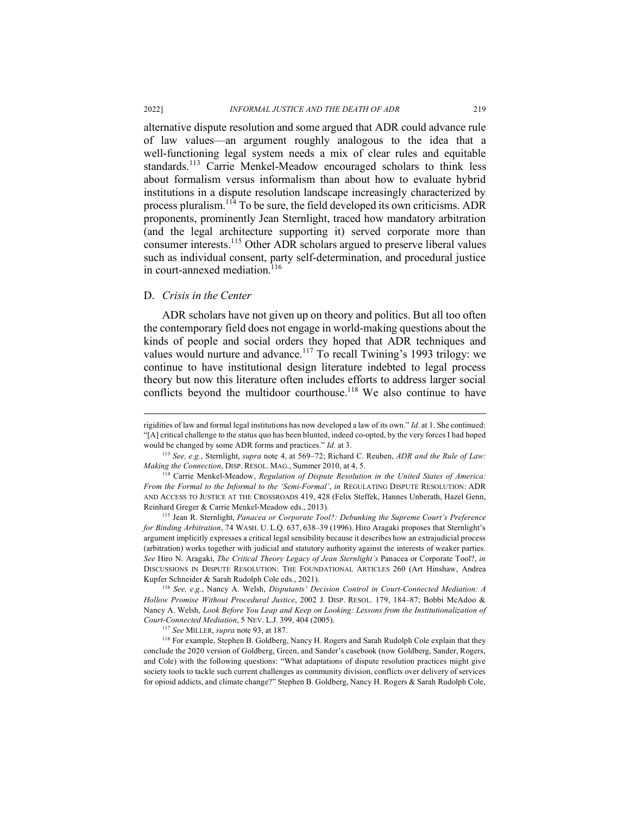alternative dispute resolution and some argued that ADR could advance rule of law values—an argument roughly analogous to the idea that a well-functioning legal system needs a mix of clear rules and equitable standards.<sup>113</sup> Carrie Menkel-Meadow encouraged scholars to think less about formalism versus informalism than about how to evaluate hybrid institutions in a dispute resolution landscape increasingly characterized by process pluralism.114 To be sure, the field developed its own criticisms. ADR proponents, prominently Jean Sternlight, traced how mandatory arbitration (and the legal architecture supporting it) served corporate more than consumer interests.115 Other ADR scholars argued to preserve liberal values such as individual consent, party self-determination, and procedural justice in court-annexed mediation.<sup>116</sup>

#### D. *Crisis in the Center*

ADR scholars have not given up on theory and politics. But all too often the contemporary field does not engage in world-making questions about the kinds of people and social orders they hoped that ADR techniques and values would nurture and advance.<sup>117</sup> To recall Twining's 1993 trilogy: we continue to have institutional design literature indebted to legal process theory but now this literature often includes efforts to address larger social conflicts beyond the multidoor courthouse.<sup>118</sup> We also continue to have

rigidities of law and formal legal institutions has now developed a law of its own." *Id.* at 1. She continued: "[A] critical challenge to the status quo has been blunted, indeed co-opted, by the very forces I had hoped would be changed by some ADR forms and practices." *Id.* at 3.

<sup>113</sup> *See, e.g.*, Sternlight, *supra* note 4, at 569–72; Richard C. Reuben, *ADR and the Rule of Law: Making the Connection*, DISP. RESOL. MAG., Summer 2010, at 4, 5.

<sup>&</sup>lt;sup>114</sup> Carrie Menkel-Meadow, *Regulation of Dispute Resolution in the United States of America: From the Formal to the Informal to the 'Semi-Formal'*, *in* REGULATING DISPUTE RESOLUTION: ADR AND ACCESS TO JUSTICE AT THE CROSSROADS 419, 428 (Felix Steffek, Hannes Unberath, Hazel Genn, Reinhard Greger & Carrie Menkel-Meadow eds., 2013). 115 Jean R. Sternlight, *Panacea or Corporate Tool?: Debunking the Supreme Court's Preference* 

*for Binding Arbitration*, 74 WASH. U. L.Q. 637, 638–39 (1996). Hiro Aragaki proposes that Sternlight's argument implicitly expresses a critical legal sensibility because it describes how an extrajudicial process (arbitration) works together with judicial and statutory authority against the interests of weaker parties. *See* Hiro N. Aragaki, *The Critical Theory Legacy of Jean Sternlight's* Panacea or Corporate Tool?, *in* DISCUSSIONS IN DISPUTE RESOLUTION: THE FOUNDATIONAL ARTICLES 260 (Art Hinshaw, Andrea Kupfer Schneider & Sarah Rudolph Cole eds., 2021).

<sup>116</sup> *See, e.g.*, Nancy A. Welsh, *Disputants' Decision Control in Court-Connected Mediation: A Hollow Promise Without Procedural Justice*, 2002 J. DISP. RESOL. 179, 184–87; Bobbi McAdoo & Nancy A. Welsh, *Look Before You Leap and Keep on Looking: Lessons from the Institutionalization of Court-Connected Mediation*, 5 NEV. L.J. 399, 404 (2005). 117 *See* MILLER, *supra* note 93, at 187.

<sup>&</sup>lt;sup>118</sup> For example, Stephen B. Goldberg, Nancy H. Rogers and Sarah Rudolph Cole explain that they conclude the 2020 version of Goldberg, Green, and Sander's casebook (now Goldberg, Sander, Rogers, and Cole) with the following questions: "What adaptations of dispute resolution practices might give society tools to tackle such current challenges as community division, conflicts over delivery of services for opioid addicts, and climate change?" Stephen B. Goldberg, Nancy H. Rogers & Sarah Rudolph Cole,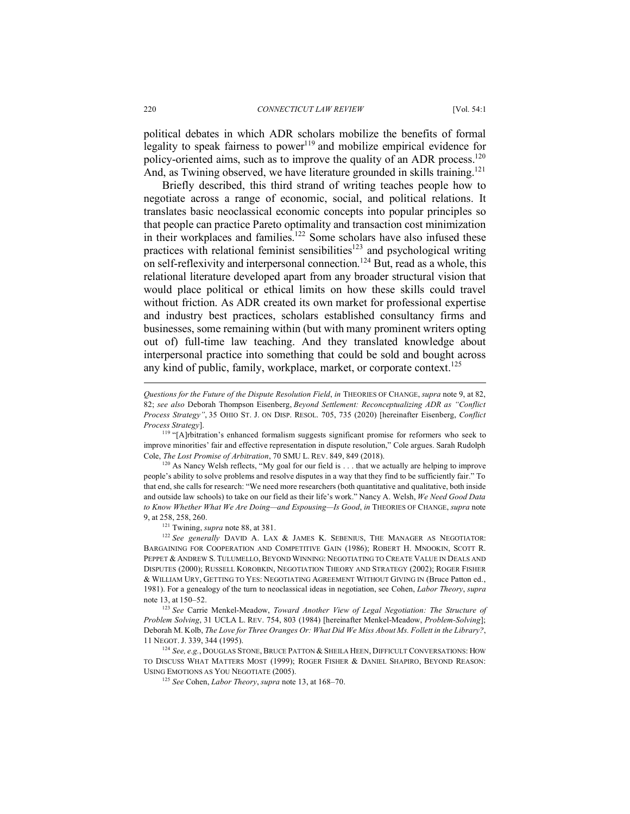220 *CONNECTICUT LAW REVIEW* [Vol. 54:1

political debates in which ADR scholars mobilize the benefits of formal legality to speak fairness to power $119$  and mobilize empirical evidence for policy-oriented aims, such as to improve the quality of an ADR process.<sup>120</sup> And, as Twining observed, we have literature grounded in skills training.<sup>121</sup>

Briefly described, this third strand of writing teaches people how to negotiate across a range of economic, social, and political relations. It translates basic neoclassical economic concepts into popular principles so that people can practice Pareto optimality and transaction cost minimization in their workplaces and families.<sup>122</sup> Some scholars have also infused these practices with relational feminist sensibilities<sup>123</sup> and psychological writing on self-reflexivity and interpersonal connection.<sup>124</sup> But, read as a whole, this relational literature developed apart from any broader structural vision that would place political or ethical limits on how these skills could travel without friction. As ADR created its own market for professional expertise and industry best practices, scholars established consultancy firms and businesses, some remaining within (but with many prominent writers opting out of) full-time law teaching. And they translated knowledge about interpersonal practice into something that could be sold and bought across any kind of public, family, workplace, market, or corporate context.<sup>125</sup>

l

*Questions for the Future of the Dispute Resolution Field*, *in* THEORIES OF CHANGE, *supra* note 9, at 82, 82; *see also* Deborah Thompson Eisenberg, *Beyond Settlement: Reconceptualizing ADR as "Conflict Process Strategy"*, 35 OHIO ST. J. ON DISP. RESOL. 705, 735 (2020) [hereinafter Eisenberg, *Conflict Process Strategy*].

<sup>&</sup>lt;sup>119</sup> "[A]rbitration's enhanced formalism suggests significant promise for reformers who seek to improve minorities' fair and effective representation in dispute resolution," Cole argues. Sarah Rudolph Cole, *The Lost Promise of Arbitration*, 70 SMU L. REV. 849, 849 (2018).

<sup>&</sup>lt;sup>120</sup> As Nancy Welsh reflects, "My goal for our field is . . . that we actually are helping to improve people's ability to solve problems and resolve disputes in a way that they find to be sufficiently fair." To that end, she calls for research: "We need more researchers (both quantitative and qualitative, both inside and outside law schools) to take on our field as their life's work." Nancy A. Welsh, *We Need Good Data to Know Whether What We Are Doing—and Espousing—Is Good*, *in* THEORIES OF CHANGE, *supra* note 9, at 258, 258, 260. 121 Twining, *supra* note 88, at 381.

<sup>&</sup>lt;sup>122</sup> See generally DAVID A. LAX & JAMES K. SEBENIUS, THE MANAGER AS NEGOTIATOR: BARGAINING FOR COOPERATION AND COMPETITIVE GAIN (1986); ROBERT H. MNOOKIN, SCOTT R. PEPPET & ANDREW S. TULUMELLO, BEYOND WINNING: NEGOTIATING TO CREATE VALUE IN DEALS AND DISPUTES (2000); RUSSELL KOROBKIN, NEGOTIATION THEORY AND STRATEGY (2002); ROGER FISHER & WILLIAM URY, GETTING TO YES: NEGOTIATING AGREEMENT WITHOUT GIVING IN (Bruce Patton ed., 1981). For a genealogy of the turn to neoclassical ideas in negotiation, see Cohen, *Labor Theory*, *supra*  note 13, at 150–52.

<sup>123</sup> *See* Carrie Menkel-Meadow, *Toward Another View of Legal Negotiation: The Structure of Problem Solving*, 31 UCLA L. REV. 754, 803 (1984) [hereinafter Menkel-Meadow, *Problem-Solving*]; Deborah M. Kolb, *The Love for Three Oranges Or: What Did We Miss About Ms. Follett in the Library?*, 11 NEGOT. J. 339, 344 (1995).

<sup>124</sup> *See, e.g.*, DOUGLAS STONE, BRUCE PATTON & SHEILA HEEN, DIFFICULT CONVERSATIONS: HOW TO DISCUSS WHAT MATTERS MOST (1999); ROGER FISHER & DANIEL SHAPIRO, BEYOND REASON: USING EMOTIONS AS YOU NEGOTIATE (2005).

<sup>125</sup> *See* Cohen, *Labor Theory*, *supra* note 13, at 168–70.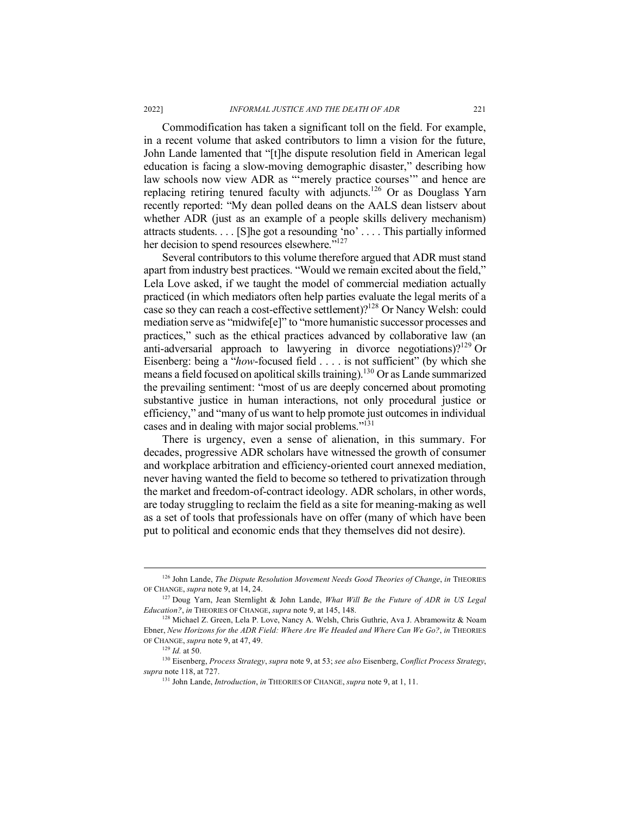Commodification has taken a significant toll on the field. For example, in a recent volume that asked contributors to limn a vision for the future, John Lande lamented that "[t]he dispute resolution field in American legal education is facing a slow-moving demographic disaster," describing how law schools now view ADR as "'merely practice courses'" and hence are replacing retiring tenured faculty with adjuncts.126 Or as Douglass Yarn recently reported: "My dean polled deans on the AALS dean listserv about whether ADR (just as an example of a people skills delivery mechanism) attracts students. . . . [S]he got a resounding 'no' . . . . This partially informed her decision to spend resources elsewhere."<sup>127</sup>

Several contributors to this volume therefore argued that ADR must stand apart from industry best practices. "Would we remain excited about the field," Lela Love asked, if we taught the model of commercial mediation actually practiced (in which mediators often help parties evaluate the legal merits of a case so they can reach a cost-effective settlement)?128 Or Nancy Welsh: could mediation serve as "midwife[e]" to "more humanistic successor processes and practices," such as the ethical practices advanced by collaborative law (an anti-adversarial approach to lawyering in divorce negotiations)?<sup>129</sup> Or Eisenberg: being a "*how*-focused field . . . . is not sufficient" (by which she means a field focused on apolitical skills training).130 Or as Lande summarized the prevailing sentiment: "most of us are deeply concerned about promoting substantive justice in human interactions, not only procedural justice or efficiency," and "many of us want to help promote just outcomes in individual cases and in dealing with major social problems."<sup>131</sup>

There is urgency, even a sense of alienation, in this summary. For decades, progressive ADR scholars have witnessed the growth of consumer and workplace arbitration and efficiency-oriented court annexed mediation, never having wanted the field to become so tethered to privatization through the market and freedom-of-contract ideology. ADR scholars, in other words, are today struggling to reclaim the field as a site for meaning-making as well as a set of tools that professionals have on offer (many of which have been put to political and economic ends that they themselves did not desire).

<sup>&</sup>lt;sup>126</sup> John Lande, *The Dispute Resolution Movement Needs Good Theories of Change*, *in* THEORIES OF CHANGE, *supra* note 9, at 14, 24. 127 Doug Yarn, Jean Sternlight & John Lande, *What Will Be the Future of ADR in US Legal* 

*Education?*, *in* THEORIES OF CHANGE, *supra* note 9, at 145, 148.<br><sup>128</sup> Michael Z. Green, Lela P. Love, Nancy A. Welsh, Chris Guthrie, Ava J. Abramowitz & Noam

Ebner, *New Horizons for the ADR Field: Where Are We Headed and Where Can We Go?*, *in* THEORIES OF CHANGE, *supra* note 9, at 47, 49. 129 *Id.* at 50.

<sup>130</sup> Eisenberg, *Process Strategy*, *supra* note 9, at 53; *see also* Eisenberg, *Conflict Process Strategy*, *supra* note 118, at 727. 131 John Lande, *Introduction*, *in* THEORIES OF CHANGE, *supra* note 9, at 1, 11.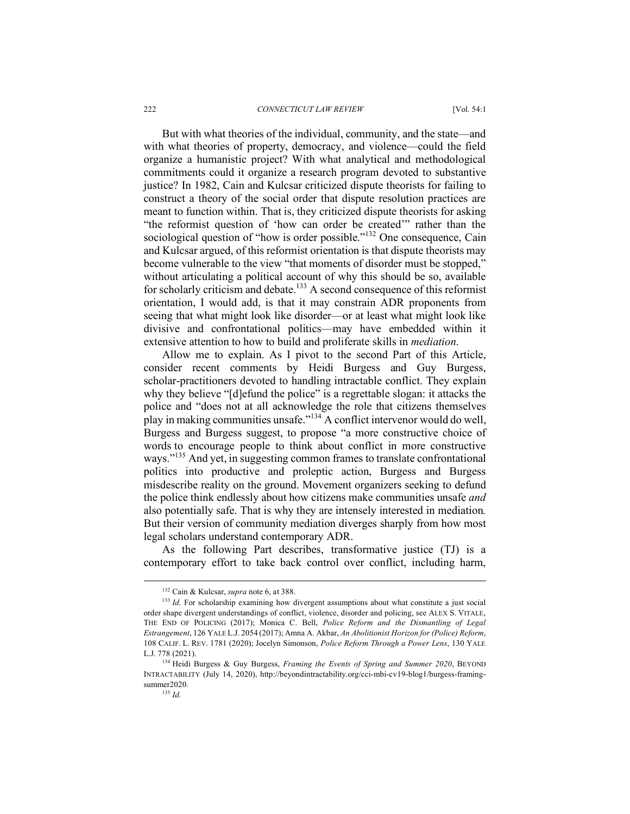#### 222 *CONNECTICUT LAW REVIEW* [Vol. 54:1

But with what theories of the individual, community, and the state—and with what theories of property, democracy, and violence—could the field organize a humanistic project? With what analytical and methodological commitments could it organize a research program devoted to substantive justice? In 1982, Cain and Kulcsar criticized dispute theorists for failing to construct a theory of the social order that dispute resolution practices are meant to function within. That is, they criticized dispute theorists for asking "the reformist question of 'how can order be created'" rather than the sociological question of "how is order possible."<sup>132</sup> One consequence, Cain and Kulcsar argued, of this reformist orientation is that dispute theorists may become vulnerable to the view "that moments of disorder must be stopped," without articulating a political account of why this should be so, available for scholarly criticism and debate.<sup>133</sup> A second consequence of this reformist orientation, I would add, is that it may constrain ADR proponents from seeing that what might look like disorder—or at least what might look like divisive and confrontational politics—may have embedded within it extensive attention to how to build and proliferate skills in *mediation*.

Allow me to explain. As I pivot to the second Part of this Article, consider recent comments by Heidi Burgess and Guy Burgess, scholar-practitioners devoted to handling intractable conflict. They explain why they believe "[d]efund the police" is a regrettable slogan: it attacks the police and "does not at all acknowledge the role that citizens themselves play in making communities unsafe."134 A conflict intervenor would do well, Burgess and Burgess suggest, to propose "a more constructive choice of words to encourage people to think about conflict in more constructive ways."<sup>135</sup> And yet, in suggesting common frames to translate confrontational politics into productive and proleptic action, Burgess and Burgess misdescribe reality on the ground. Movement organizers seeking to defund the police think endlessly about how citizens make communities unsafe *and* also potentially safe. That is why they are intensely interested in mediation*.* But their version of community mediation diverges sharply from how most legal scholars understand contemporary ADR.

As the following Part describes, transformative justice (TJ) is a contemporary effort to take back control over conflict, including harm,

 <sup>132</sup> Cain & Kulcsar, *supra* note 6, at 388.

<sup>&</sup>lt;sup>133</sup> *Id.* For scholarship examining how divergent assumptions about what constitute a just social order shape divergent understandings of conflict, violence, disorder and policing, see ALEX S. VITALE, THE END OF POLICING (2017); Monica C. Bell, *Police Reform and the Dismantling of Legal Estrangement*, 126 YALE L.J. 2054 (2017); Amna A. Akbar, *An Abolitionist Horizon for (Police) Reform*, 108 CALIF. L. REV. 1781 (2020); Jocelyn Simonson, *Police Reform Through a Power Lens*, 130 YALE L.J. 778 (2021).

<sup>134</sup> Heidi Burgess & Guy Burgess, *Framing the Events of Spring and Summer 2020*, BEYOND INTRACTABILITY (July 14, 2020), http://beyondintractability.org/cci-mbi-cv19-blog1/burgess-framingsummer2020.

<sup>135</sup> *Id.*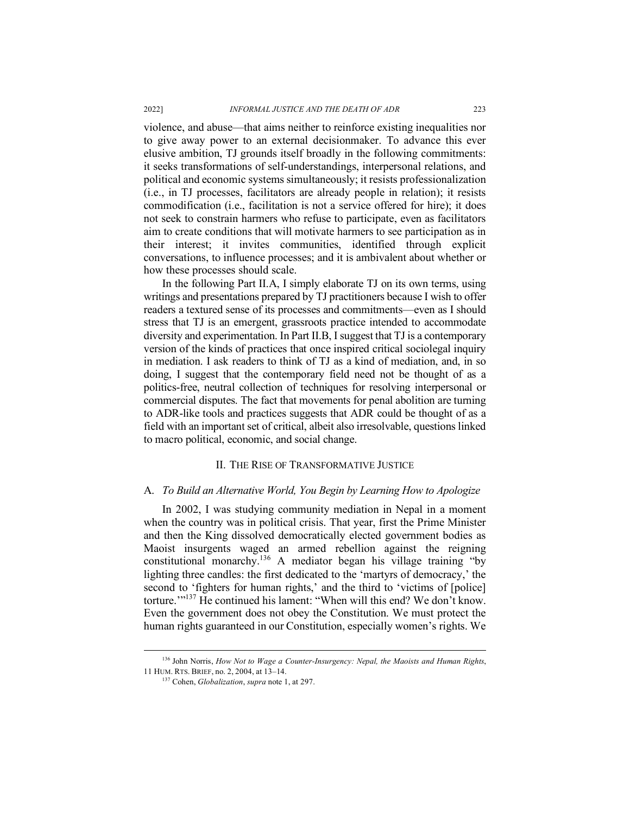#### 2022] *INFORMAL JUSTICE AND THE DEATH OF ADR* 223

violence, and abuse—that aims neither to reinforce existing inequalities nor to give away power to an external decisionmaker. To advance this ever elusive ambition, TJ grounds itself broadly in the following commitments: it seeks transformations of self-understandings, interpersonal relations, and political and economic systems simultaneously; it resists professionalization (i.e., in TJ processes, facilitators are already people in relation); it resists commodification (i.e., facilitation is not a service offered for hire); it does not seek to constrain harmers who refuse to participate, even as facilitators aim to create conditions that will motivate harmers to see participation as in their interest; it invites communities, identified through explicit conversations, to influence processes; and it is ambivalent about whether or how these processes should scale.

In the following Part II.A, I simply elaborate TJ on its own terms, using writings and presentations prepared by TJ practitioners because I wish to offer readers a textured sense of its processes and commitments—even as I should stress that TJ is an emergent, grassroots practice intended to accommodate diversity and experimentation. In Part II.B, I suggest that TJ is a contemporary version of the kinds of practices that once inspired critical sociolegal inquiry in mediation. I ask readers to think of TJ as a kind of mediation, and, in so doing, I suggest that the contemporary field need not be thought of as a politics-free, neutral collection of techniques for resolving interpersonal or commercial disputes. The fact that movements for penal abolition are turning to ADR-like tools and practices suggests that ADR could be thought of as a field with an important set of critical, albeit also irresolvable, questions linked to macro political, economic, and social change.

#### II. THE RISE OF TRANSFORMATIVE JUSTICE

#### A. *To Build an Alternative World, You Begin by Learning How to Apologize*

In 2002, I was studying community mediation in Nepal in a moment when the country was in political crisis. That year, first the Prime Minister and then the King dissolved democratically elected government bodies as Maoist insurgents waged an armed rebellion against the reigning constitutional monarchy. <sup>136</sup> A mediator began his village training "by lighting three candles: the first dedicated to the 'martyrs of democracy,' the second to 'fighters for human rights,' and the third to 'victims of [police] torture.'"137 He continued his lament: "When will this end? We don't know. Even the government does not obey the Constitution. We must protect the human rights guaranteed in our Constitution, especially women's rights. We

 <sup>136</sup> John Norris, *How Not to Wage a Counter-Insurgency: Nepal, the Maoists and Human Rights*, 11 HUM. RTS. BRIEF, no. 2, 2004, at 13–14.

<sup>137</sup> Cohen, *Globalization*, *supra* note 1, at 297.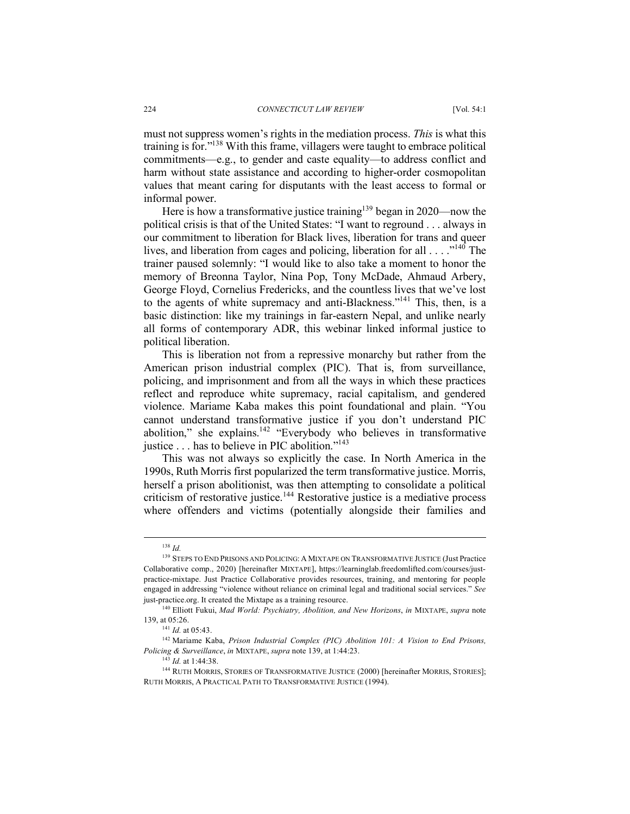must not suppress women's rights in the mediation process. *This* is what this training is for."138 With this frame, villagers were taught to embrace political commitments—e.g., to gender and caste equality—to address conflict and harm without state assistance and according to higher-order cosmopolitan values that meant caring for disputants with the least access to formal or informal power.

Here is how a transformative justice training<sup>139</sup> began in 2020—now the political crisis is that of the United States: "I want to reground . . . always in our commitment to liberation for Black lives, liberation for trans and queer lives, and liberation from cages and policing, liberation for all  $\dots$ ."<sup>140</sup> The trainer paused solemnly: "I would like to also take a moment to honor the memory of Breonna Taylor, Nina Pop, Tony McDade, Ahmaud Arbery, George Floyd, Cornelius Fredericks, and the countless lives that we've lost to the agents of white supremacy and anti-Blackness."141 This, then, is a basic distinction: like my trainings in far-eastern Nepal, and unlike nearly all forms of contemporary ADR, this webinar linked informal justice to political liberation.

This is liberation not from a repressive monarchy but rather from the American prison industrial complex (PIC). That is, from surveillance, policing, and imprisonment and from all the ways in which these practices reflect and reproduce white supremacy, racial capitalism, and gendered violence. Mariame Kaba makes this point foundational and plain. "You cannot understand transformative justice if you don't understand PIC abolition," she explains. $142$  "Everybody who believes in transformative justice . . . has to believe in PIC abolition."143

This was not always so explicitly the case. In North America in the 1990s, Ruth Morris first popularized the term transformative justice. Morris, herself a prison abolitionist, was then attempting to consolidate a political criticism of restorative justice.<sup>144</sup> Restorative justice is a mediative process where offenders and victims (potentially alongside their families and

 <sup>138</sup> *Id.* 

<sup>&</sup>lt;sup>139</sup> STEPS TO END PRISONS AND POLICING: A MIXTAPE ON TRANSFORMATIVE JUSTICE (Just Practice Collaborative comp., 2020) [hereinafter MIXTAPE], https://learninglab.freedomlifted.com/courses/justpractice-mixtape. Just Practice Collaborative provides resources, training, and mentoring for people engaged in addressing "violence without reliance on criminal legal and traditional social services." *See* just-practice.org. It created the Mixtape as a training resource.

<sup>140</sup> Elliott Fukui, *Mad World: Psychiatry, Abolition, and New Horizons*, *in* MIXTAPE, *supra* note 139, at 05:26.

<sup>&</sup>lt;sup>141</sup> *Id.* at 05:43.<br><sup>142</sup> Mariame Kaba, *Prison Industrial Complex (PIC) Abolition 101: A Vision to End Prisons, Policing & Surveillance*, *in* MIXTAPE, *supra* note 139, at 1:44:23.

<sup>143</sup> *Id.* at 1:44:38.

<sup>&</sup>lt;sup>144</sup> RUTH MORRIS, STORIES OF TRANSFORMATIVE JUSTICE (2000) [hereinafter MORRIS, STORIES]; RUTH MORRIS, A PRACTICAL PATH TO TRANSFORMATIVE JUSTICE (1994).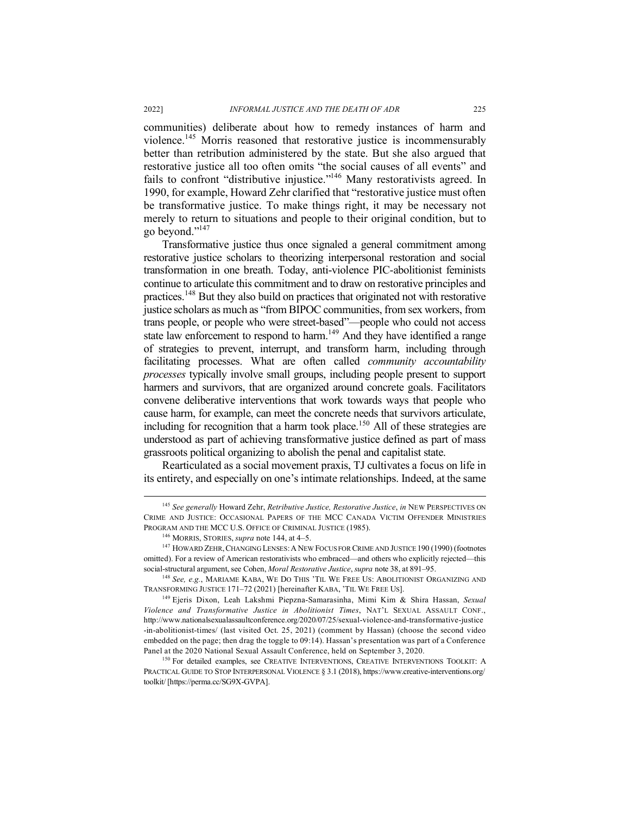communities) deliberate about how to remedy instances of harm and violence. <sup>145</sup> Morris reasoned that restorative justice is incommensurably better than retribution administered by the state. But she also argued that restorative justice all too often omits "the social causes of all events" and fails to confront "distributive injustice."146 Many restorativists agreed. In 1990, for example, Howard Zehr clarified that "restorative justice must often be transformative justice. To make things right, it may be necessary not merely to return to situations and people to their original condition, but to go beyond."147

Transformative justice thus once signaled a general commitment among restorative justice scholars to theorizing interpersonal restoration and social transformation in one breath. Today, anti-violence PIC-abolitionist feminists continue to articulate this commitment and to draw on restorative principles and practices.<sup>148</sup> But they also build on practices that originated not with restorative justice scholars as much as "from BIPOC communities, from sex workers, from trans people, or people who were street-based"—people who could not access state law enforcement to respond to harm.<sup>149</sup> And they have identified a range of strategies to prevent, interrupt, and transform harm, including through facilitating processes. What are often called *community accountability processes* typically involve small groups, including people present to support harmers and survivors, that are organized around concrete goals. Facilitators convene deliberative interventions that work towards ways that people who cause harm, for example, can meet the concrete needs that survivors articulate, including for recognition that a harm took place.<sup>150</sup> All of these strategies are understood as part of achieving transformative justice defined as part of mass grassroots political organizing to abolish the penal and capitalist state.

Rearticulated as a social movement praxis, TJ cultivates a focus on life in its entirety, and especially on one's intimate relationships. Indeed, at the same

 <sup>145</sup> *See generally* Howard Zehr, *Retributive Justice, Restorative Justice*, *in* NEW PERSPECTIVES ON CRIME AND JUSTICE: OCCASIONAL PAPERS OF THE MCC CANADA VICTIM OFFENDER MINISTRIES PROGRAM AND THE MCC U.S. OFFICE OF CRIMINAL JUSTICE (1985).<br><sup>146</sup> MORRIS, STORIES, *supra* note 144, at 4–5.<br><sup>147</sup> HOWARD ZEHR, CHANGING LENSES: A NEW FOCUS FOR CRIME AND JUSTICE 190 (1990) (footnotes

omitted). For a review of American restorativists who embraced—and others who explicitly rejected—this social-structural argument, see Cohen, *Moral Restorative Justice*, *supra* note 38, at 891–95.

<sup>148</sup> *See, e.g.*, MARIAME KABA, WE DO THIS 'TIL WE FREE US: ABOLITIONIST ORGANIZING AND TRANSFORMING JUSTICE 171–72 (2021) [hereinafter KABA, 'TIL WE FREE US].

<sup>149</sup> Ejeris Dixon, Leah Lakshmi Piepzna-Samarasinha, Mimi Kim & Shira Hassan, *Sexual Violence and Transformative Justice in Abolitionist Times*, NAT'L SEXUAL ASSAULT CONF., http://www.nationalsexualassaultconference.org/2020/07/25/sexual-violence-and-transformative-justice -in-abolitionist-times/ (last visited Oct. 25, 2021) (comment by Hassan) (choose the second video embedded on the page; then drag the toggle to 09:14). Hassan's presentation was part of a Conference Panel at the 2020 National Sexual Assault Conference, held on September 3, 2020.<br><sup>150</sup> For detailed examples, see CREATIVE INTERVENTIONS, CREATIVE INTERVENTIONS TOOLKIT: A

PRACTICAL GUIDE TO STOP INTERPERSONAL VIOLENCE § 3.1 (2018), https://www.creative-interventions.org/ toolkit/ [https://perma.cc/SG9X-GVPA].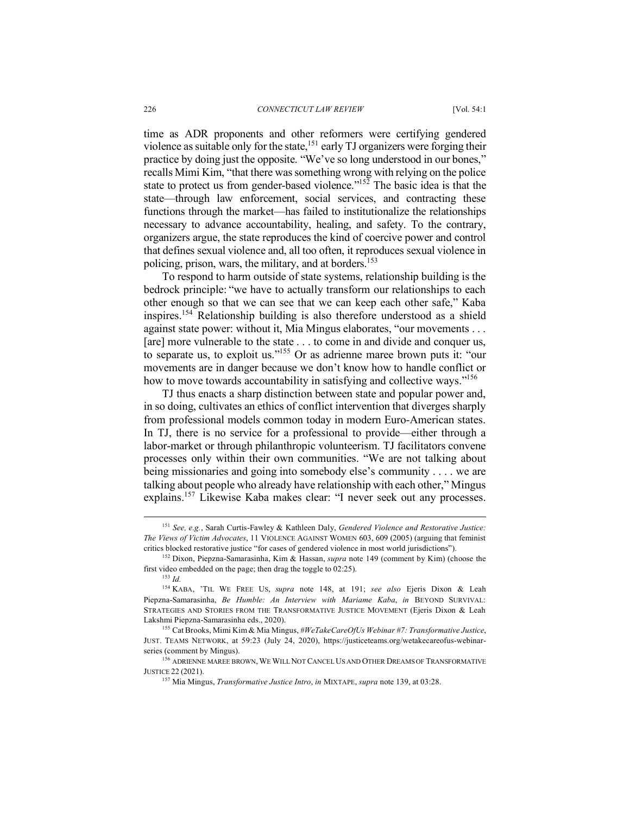time as ADR proponents and other reformers were certifying gendered violence as suitable only for the state,<sup>151</sup> early TJ organizers were forging their practice by doing just the opposite. "We've so long understood in our bones," recalls Mimi Kim, "that there was something wrong with relying on the police state to protect us from gender-based violence." $15\overline{2}$  The basic idea is that the state—through law enforcement, social services, and contracting these functions through the market—has failed to institutionalize the relationships necessary to advance accountability, healing, and safety. To the contrary, organizers argue, the state reproduces the kind of coercive power and control that defines sexual violence and, all too often, it reproduces sexual violence in policing, prison, wars, the military, and at borders. 153

To respond to harm outside of state systems, relationship building is the bedrock principle: "we have to actually transform our relationships to each other enough so that we can see that we can keep each other safe," Kaba inspires.154 Relationship building is also therefore understood as a shield against state power: without it, Mia Mingus elaborates, "our movements . . . [are] more vulnerable to the state . . . to come in and divide and conquer us, to separate us, to exploit us."155 Or as adrienne maree brown puts it: "our movements are in danger because we don't know how to handle conflict or how to move towards accountability in satisfying and collective ways."<sup>156</sup>

TJ thus enacts a sharp distinction between state and popular power and, in so doing, cultivates an ethics of conflict intervention that diverges sharply from professional models common today in modern Euro-American states. In TJ, there is no service for a professional to provide—either through a labor-market or through philanthropic volunteerism. TJ facilitators convene processes only within their own communities. "We are not talking about being missionaries and going into somebody else's community . . . . we are talking about people who already have relationship with each other," Mingus explains.<sup>157</sup> Likewise Kaba makes clear: "I never seek out any processes.

 <sup>151</sup> *See, e.g.*, Sarah Curtis-Fawley & Kathleen Daly, *Gendered Violence and Restorative Justice: The Views of Victim Advocates*, 11 VIOLENCE AGAINST WOMEN 603, 609 (2005) (arguing that feminist critics blocked restorative justice "for cases of gendered violence in most world jurisdictions").

<sup>152</sup> Dixon, Piepzna-Samarasinha, Kim & Hassan, *supra* note 149 (comment by Kim) (choose the first video embedded on the page; then drag the toggle to 02:25). 153 *Id.*

<sup>154</sup> KABA, 'TIL WE FREE US, *supra* note 148, at 191; *see also* Ejeris Dixon & Leah Piepzna-Samarasinha, *Be Humble: An Interview with Mariame Kaba*, *in* BEYOND SURVIVAL: STRATEGIES AND STORIES FROM THE TRANSFORMATIVE JUSTICE MOVEMENT (Ejeris Dixon & Leah Lakshmi Piepzna-Samarasinha eds., 2020).

<sup>155</sup> Cat Brooks, Mimi Kim & Mia Mingus, *#WeTakeCareOfUs Webinar #7: Transformative Justice*, JUST. TEAMS NETWORK, at 59:23 (July 24, 2020), https://justiceteams.org/wetakecareofus-webinarseries (comment by Mingus).

<sup>&</sup>lt;sup>156</sup> ADRIENNE MAREE BROWN, WE WILL NOT CANCEL US AND OTHER DREAMS OF TRANSFORMATIVE JUSTICE 22 (2021).

<sup>157</sup> Mia Mingus, *Transformative Justice Intro*, *in* MIXTAPE, *supra* note 139, at 03:28.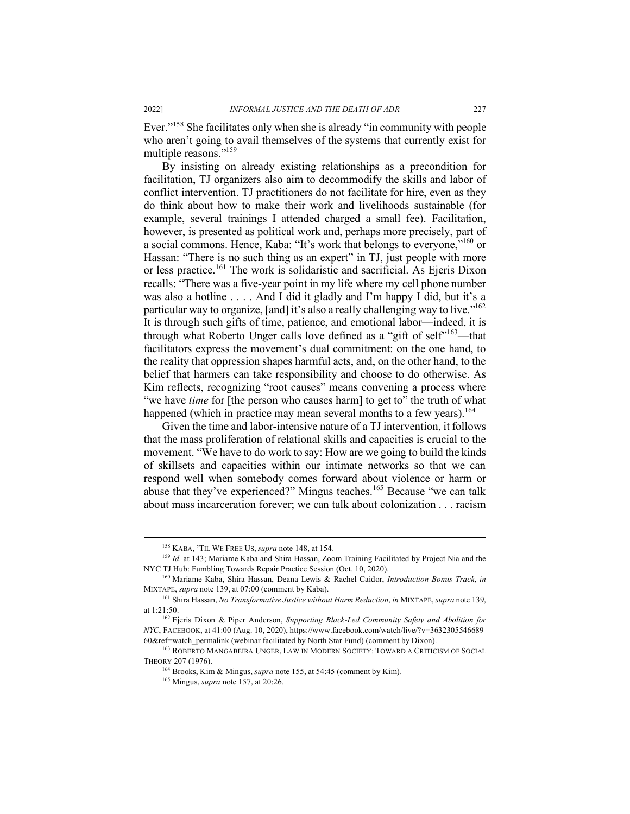Ever."158 She facilitates only when she is already "in community with people who aren't going to avail themselves of the systems that currently exist for multiple reasons."159

By insisting on already existing relationships as a precondition for facilitation, TJ organizers also aim to decommodify the skills and labor of conflict intervention. TJ practitioners do not facilitate for hire, even as they do think about how to make their work and livelihoods sustainable (for example, several trainings I attended charged a small fee). Facilitation, however, is presented as political work and, perhaps more precisely, part of a social commons. Hence, Kaba: "It's work that belongs to everyone,"160 or Hassan: "There is no such thing as an expert" in TJ, just people with more or less practice.<sup>161</sup> The work is solidaristic and sacrificial. As Ejeris Dixon recalls: "There was a five-year point in my life where my cell phone number was also a hotline . . . . And I did it gladly and I'm happy I did, but it's a particular way to organize, [and] it's also a really challenging way to live."<sup>162</sup> It is through such gifts of time, patience, and emotional labor—indeed, it is through what Roberto Unger calls love defined as a "gift of self"<sup>163</sup>—that facilitators express the movement's dual commitment: on the one hand, to the reality that oppression shapes harmful acts, and, on the other hand, to the belief that harmers can take responsibility and choose to do otherwise. As Kim reflects, recognizing "root causes" means convening a process where "we have *time* for [the person who causes harm] to get to" the truth of what happened (which in practice may mean several months to a few years).<sup>164</sup>

Given the time and labor-intensive nature of a TJ intervention, it follows that the mass proliferation of relational skills and capacities is crucial to the movement. "We have to do work to say: How are we going to build the kinds of skillsets and capacities within our intimate networks so that we can respond well when somebody comes forward about violence or harm or abuse that they've experienced?" Mingus teaches.<sup>165</sup> Because "we can talk about mass incarceration forever; we can talk about colonization . . . racism

 <sup>158</sup> KABA, 'TIL WE FREE US, *supra* note 148, at 154.

<sup>&</sup>lt;sup>159</sup> Id. at 143; Mariame Kaba and Shira Hassan, Zoom Training Facilitated by Project Nia and the NYC TJ Hub: Fumbling Towards Repair Practice Session (Oct. 10, 2020).

<sup>160</sup> Mariame Kaba, Shira Hassan, Deana Lewis & Rachel Caidor, *Introduction Bonus Track*, *in*  MIXTAPE, *supra* note 139, at 07:00 (comment by Kaba).

<sup>161</sup> Shira Hassan, *No Transformative Justice without Harm Reduction*, *in* MIXTAPE, *supra* note 139, at 1:21:50.

<sup>162</sup> Ejeris Dixon & Piper Anderson, *Supporting Black-Led Community Safety and Abolition for NYC*, FACEBOOK, at 41:00 (Aug. 10, 2020), https://www.facebook.com/watch/live/?v=3632305546689 60&ref=watch\_permalink (webinar facilitated by North Star Fund) (comment by Dixon).

<sup>&</sup>lt;sup>163</sup> ROBERTO MANGABEIRA UNGER, LAW IN MODERN SOCIETY: TOWARD A CRITICISM OF SOCIAL THEORY 207 (1976). 164 Brooks, Kim & Mingus, *supra* note 155, at 54:45 (comment by Kim).

<sup>165</sup> Mingus, *supra* note 157, at 20:26.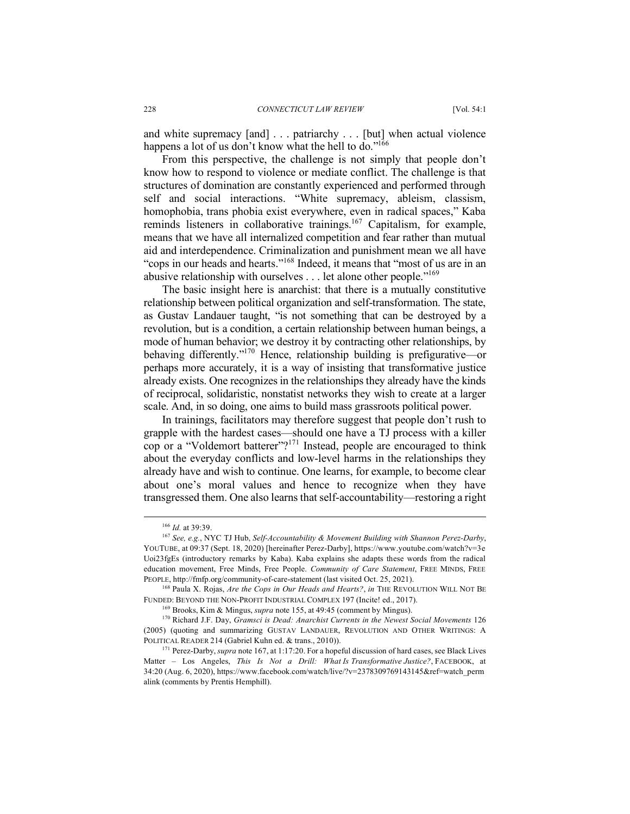and white supremacy [and] . . . patriarchy . . . [but] when actual violence happens a lot of us don't know what the hell to do."<sup>166</sup>

From this perspective, the challenge is not simply that people don't know how to respond to violence or mediate conflict. The challenge is that structures of domination are constantly experienced and performed through self and social interactions. "White supremacy, ableism, classism, homophobia, trans phobia exist everywhere, even in radical spaces," Kaba reminds listeners in collaborative trainings.167 Capitalism, for example, means that we have all internalized competition and fear rather than mutual aid and interdependence. Criminalization and punishment mean we all have "cops in our heads and hearts."168 Indeed, it means that "most of us are in an abusive relationship with ourselves . . . let alone other people."169

The basic insight here is anarchist: that there is a mutually constitutive relationship between political organization and self-transformation. The state, as Gustav Landauer taught, "is not something that can be destroyed by a revolution, but is a condition, a certain relationship between human beings, a mode of human behavior; we destroy it by contracting other relationships, by behaving differently."170 Hence, relationship building is prefigurative—or perhaps more accurately, it is a way of insisting that transformative justice already exists. One recognizes in the relationships they already have the kinds of reciprocal, solidaristic, nonstatist networks they wish to create at a larger scale. And, in so doing, one aims to build mass grassroots political power.

In trainings, facilitators may therefore suggest that people don't rush to grapple with the hardest cases—should one have a TJ process with a killer cop or a "Voldemort batterer"?<sup>171</sup> Instead, people are encouraged to think about the everyday conflicts and low-level harms in the relationships they already have and wish to continue. One learns, for example, to become clear about one's moral values and hence to recognize when they have transgressed them. One also learns that self-accountability—restoring a right

 <sup>166</sup> *Id.* at 39:39.

<sup>167</sup> *See, e.g.*, NYC TJ Hub, *Self-Accountability & Movement Building with Shannon Perez-Darby*, YOUTUBE, at 09:37 (Sept. 18, 2020) [hereinafter Perez-Darby], https://www.youtube.com/watch?v=3e Uoi23fgEs (introductory remarks by Kaba). Kaba explains she adapts these words from the radical education movement, Free Minds, Free People. *Community of Care Statement*, FREE MINDS, FREE PEOPLE, http://fmfp.org/community-of-care-statement (last visited Oct. 25, 2021).

<sup>168</sup> Paula X. Rojas, *Are the Cops in Our Heads and Hearts?*, *in* THE REVOLUTION WILL NOT BE FUNDED: BEYOND THE NON-PROFIT INDUSTRIAL COMPLEX 197 (Incite! ed., 2017).

<sup>169</sup> Brooks, Kim & Mingus, *supra* note 155, at 49:45 (comment by Mingus).

<sup>170</sup> Richard J.F. Day, *Gramsci is Dead: Anarchist Currents in the Newest Social Movements* 126 (2005) (quoting and summarizing GUSTAV LANDAUER, REVOLUTION AND OTHER WRITINGS: A POLITICAL READER 214 (Gabriel Kuhn ed. & trans., 2010)).

<sup>&</sup>lt;sup>171</sup> Perez-Darby, *supra* note 167, at 1:17:20. For a hopeful discussion of hard cases, see Black Lives Matter – Los Angeles, *This Is Not a Drill: What Is Transformative Justice?*, FACEBOOK, at 34:20 (Aug. 6, 2020), https://www.facebook.com/watch/live/?v=2378309769143145&ref=watch\_perm alink (comments by Prentis Hemphill).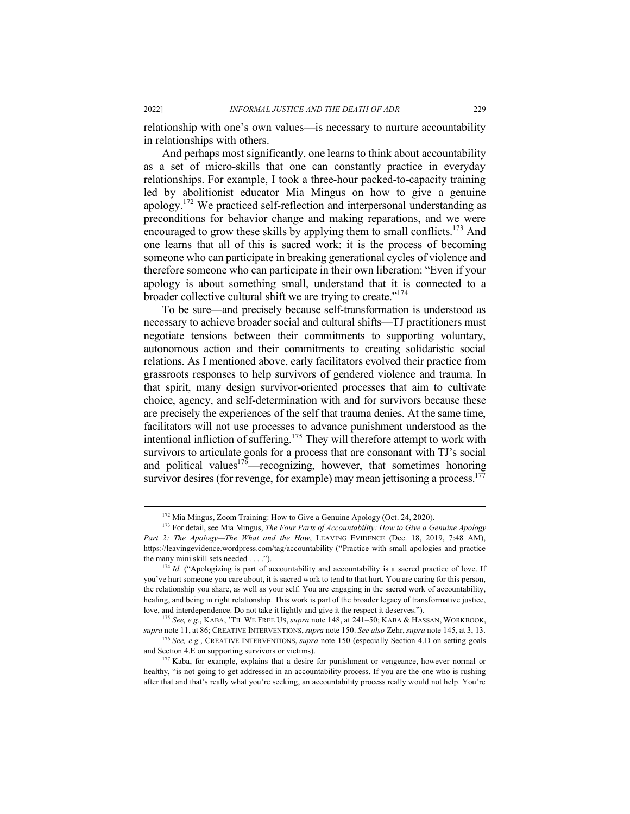relationship with one's own values—is necessary to nurture accountability in relationships with others.

And perhaps most significantly, one learns to think about accountability as a set of micro-skills that one can constantly practice in everyday relationships. For example, I took a three-hour packed-to-capacity training led by abolitionist educator Mia Mingus on how to give a genuine apology.172 We practiced self-reflection and interpersonal understanding as preconditions for behavior change and making reparations, and we were encouraged to grow these skills by applying them to small conflicts.<sup>173</sup> And one learns that all of this is sacred work: it is the process of becoming someone who can participate in breaking generational cycles of violence and therefore someone who can participate in their own liberation: "Even if your apology is about something small, understand that it is connected to a broader collective cultural shift we are trying to create."<sup>174</sup>

To be sure—and precisely because self-transformation is understood as necessary to achieve broader social and cultural shifts—TJ practitioners must negotiate tensions between their commitments to supporting voluntary, autonomous action and their commitments to creating solidaristic social relations. As I mentioned above, early facilitators evolved their practice from grassroots responses to help survivors of gendered violence and trauma. In that spirit, many design survivor-oriented processes that aim to cultivate choice, agency, and self-determination with and for survivors because these are precisely the experiences of the self that trauma denies. At the same time, facilitators will not use processes to advance punishment understood as the intentional infliction of suffering.<sup>175</sup> They will therefore attempt to work with survivors to articulate goals for a process that are consonant with TJ's social and political values<sup>176</sup>—recognizing, however, that sometimes honoring survivor desires (for revenge, for example) may mean jettisoning a process.<sup>177</sup>

<sup>&</sup>lt;sup>172</sup> Mia Mingus, Zoom Training: How to Give a Genuine Apology (Oct. 24, 2020).

<sup>173</sup> For detail, see Mia Mingus, *The Four Parts of Accountability: How to Give a Genuine Apology Part 2: The Apology—The What and the How*, LEAVING EVIDENCE (Dec. 18, 2019, 7:48 AM), https://leavingevidence.wordpress.com/tag/accountability ("Practice with small apologies and practice the many mini skill sets needed . . . .").<br> $^{174}$  *Id.* ("Apologizing is part of accountability and accountability is a sacred practice of love. If

you've hurt someone you care about, it is sacred work to tend to that hurt. You are caring for this person, the relationship you share, as well as your self. You are engaging in the sacred work of accountability, healing, and being in right relationship. This work is part of the broader legacy of transformative justice, love, and interdependence. Do not take it lightly and give it the respect it deserves.").

<sup>175</sup> *See, e.g.*, KABA, 'TIL WE FREE US, *supra* note 148, at 241–50; KABA & HASSAN, WORKBOOK, *supra* note 11, at 86; CREATIVE INTERVENTIONS,*supra* note 150. *See also* Zehr, *supra* note 145, at 3, 13.

<sup>176</sup> *See, e.g.*, CREATIVE INTERVENTIONS, *supra* note 150 (especially Section 4.D on setting goals and Section 4.E on supporting survivors or victims).<br><sup>177</sup> Kaba, for example, explains that a desire for punishment or vengeance, however normal or

healthy, "is not going to get addressed in an accountability process. If you are the one who is rushing after that and that's really what you're seeking, an accountability process really would not help. You're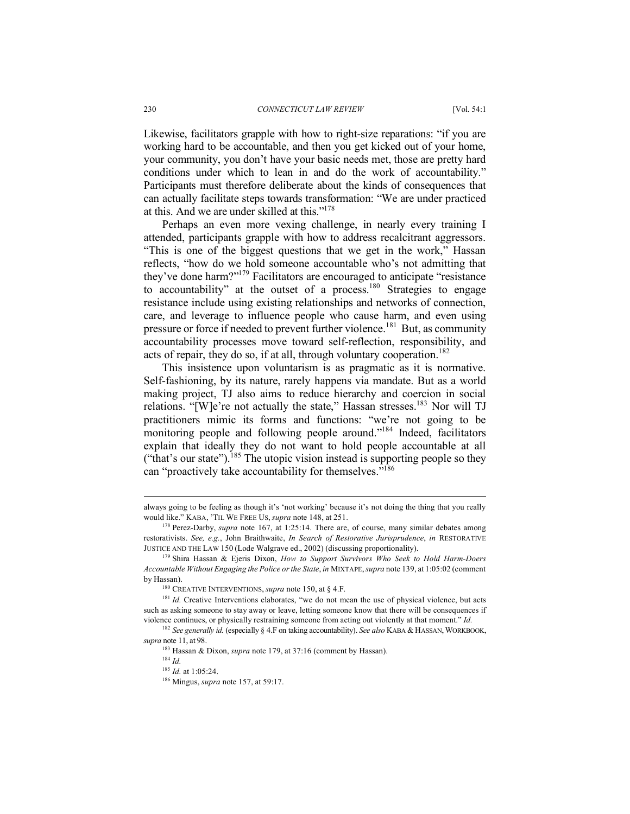Likewise, facilitators grapple with how to right-size reparations: "if you are working hard to be accountable, and then you get kicked out of your home, your community, you don't have your basic needs met, those are pretty hard conditions under which to lean in and do the work of accountability." Participants must therefore deliberate about the kinds of consequences that can actually facilitate steps towards transformation: "We are under practiced at this. And we are under skilled at this."178

Perhaps an even more vexing challenge, in nearly every training I attended, participants grapple with how to address recalcitrant aggressors. "This is one of the biggest questions that we get in the work," Hassan reflects, "how do we hold someone accountable who's not admitting that they've done harm?"179 Facilitators are encouraged to anticipate "resistance to accountability" at the outset of a process.<sup>180</sup> Strategies to engage resistance include using existing relationships and networks of connection, care, and leverage to influence people who cause harm, and even using pressure or force if needed to prevent further violence.<sup>181</sup> But, as community accountability processes move toward self-reflection, responsibility, and acts of repair, they do so, if at all, through voluntary cooperation.<sup>182</sup>

This insistence upon voluntarism is as pragmatic as it is normative. Self-fashioning, by its nature, rarely happens via mandate. But as a world making project, TJ also aims to reduce hierarchy and coercion in social relations. "[W]e're not actually the state," Hassan stresses.<sup>183</sup> Nor will TJ practitioners mimic its forms and functions: "we're not going to be monitoring people and following people around."<sup>184</sup> Indeed, facilitators explain that ideally they do not want to hold people accountable at all ("that's our state").<sup>185</sup> The utopic vision instead is supporting people so they can "proactively take accountability for themselves."<sup>186</sup>

always going to be feeling as though it's 'not working' because it's not doing the thing that you really would like." KABA, 'TIL WE FREE US, *supra* note 148, at 251.

<sup>178</sup> Perez-Darby, *supra* note 167, at 1:25:14. There are, of course, many similar debates among restorativists. *See, e.g.*, John Braithwaite, *In Search of Restorative Jurisprudence*, *in* RESTORATIVE JUSTICE AND THE LAW 150 (Lode Walgrave ed., 2002) (discussing proportionality).

<sup>179</sup> Shira Hassan & Ejeris Dixon, *How to Support Survivors Who Seek to Hold Harm-Doers Accountable Without Engaging the Police or the State*, *in* MIXTAPE, *supra* note 139, at 1:05:02 (comment by Hassan).

<sup>180</sup> CREATIVE INTERVENTIONS, *supra* note 150, at § 4.F.

<sup>&</sup>lt;sup>181</sup> *Id.* Creative Interventions elaborates, "we do not mean the use of physical violence, but acts such as asking someone to stay away or leave, letting someone know that there will be consequences if violence continues, or physically restraining someone from acting out violently at that moment." *Id.*

<sup>182</sup> *See generally id.* (especially § 4.F on taking accountability). *See also* KABA & HASSAN,WORKBOOK, *supra* note 11, at 98.

<sup>&</sup>lt;sup>183</sup> Hassan & Dixon, *supra* note 179, at 37:16 (comment by Hassan).

<sup>184</sup> *Id.*

<sup>185</sup> *Id.* at 1:05:24.

<sup>186</sup> Mingus, *supra* note 157, at 59:17.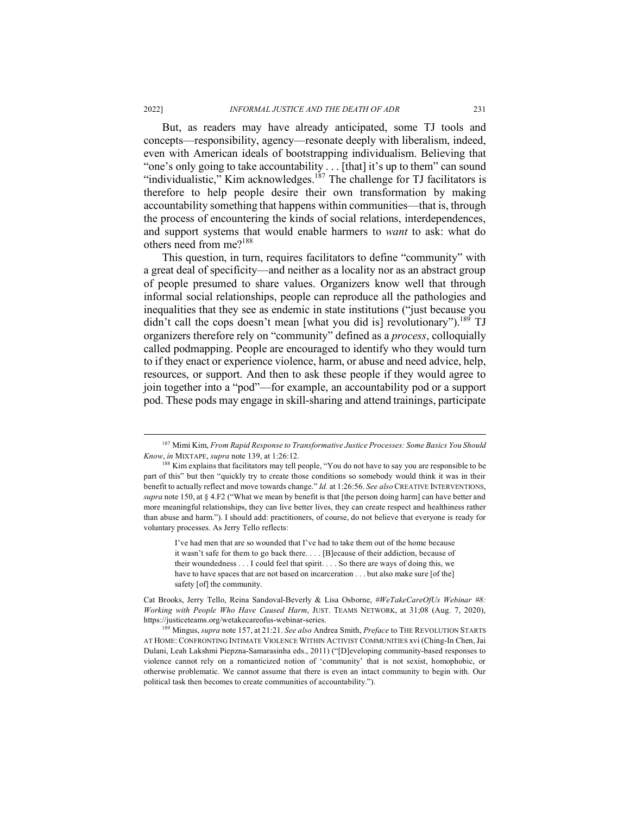But, as readers may have already anticipated, some TJ tools and concepts—responsibility, agency—resonate deeply with liberalism, indeed, even with American ideals of bootstrapping individualism. Believing that "one's only going to take accountability . . . [that] it's up to them" can sound "individualistic," Kim acknowledges.<sup>187</sup> The challenge for TJ facilitators is therefore to help people desire their own transformation by making accountability something that happens within communities—that is, through the process of encountering the kinds of social relations, interdependences, and support systems that would enable harmers to *want* to ask: what do others need from me?188

This question, in turn, requires facilitators to define "community" with a great deal of specificity—and neither as a locality nor as an abstract group of people presumed to share values. Organizers know well that through informal social relationships, people can reproduce all the pathologies and inequalities that they see as endemic in state institutions ("just because you didn't call the cops doesn't mean [what you did is] revolutionary").<sup>189</sup> TJ organizers therefore rely on "community" defined as a *process*, colloquially called podmapping. People are encouraged to identify who they would turn to if they enact or experience violence, harm, or abuse and need advice, help, resources, or support. And then to ask these people if they would agree to join together into a "pod"—for example, an accountability pod or a support pod. These pods may engage in skill-sharing and attend trainings, participate

I've had men that are so wounded that I've had to take them out of the home because it wasn't safe for them to go back there. . . . [B]ecause of their addiction, because of their woundedness . . . I could feel that spirit. . . . So there are ways of doing this, we have to have spaces that are not based on incarceration . . . but also make sure [of the] safety [of] the community.

 <sup>187</sup> Mimi Kim, *From Rapid Response to Transformative Justice Processes: Some Basics You Should Know, in MIXTAPE, supra* note 139, at 1:26:12.<br><sup>188</sup> Kim explains that facilitators may tell people, "You do not have to say you are responsible to be

part of this" but then "quickly try to create those conditions so somebody would think it was in their benefit to actually reflect and move towards change." *Id.* at 1:26:56. *See also* CREATIVE INTERVENTIONS, *supra* note 150, at § 4.F2 ("What we mean by benefit is that [the person doing harm] can have better and more meaningful relationships, they can live better lives, they can create respect and healthiness rather than abuse and harm."). I should add: practitioners, of course, do not believe that everyone is ready for voluntary processes. As Jerry Tello reflects:

Cat Brooks, Jerry Tello, Reina Sandoval-Beverly & Lisa Osborne, *#WeTakeCareOfUs Webinar #8: Working with People Who Have Caused Harm*, JUST. TEAMS NETWORK, at 31;08 (Aug. 7, 2020), https://justiceteams.org/wetakecareofus-webinar-series.

<sup>189</sup> Mingus, *supra* note 157, at 21:21. *See also* Andrea Smith, *Preface* to THE REVOLUTION STARTS AT HOME: CONFRONTING INTIMATE VIOLENCE WITHIN ACTIVIST COMMUNITIES xvi (Ching-In Chen, Jai Dulani, Leah Lakshmi Piepzna-Samarasinha eds., 2011) ("[D]eveloping community-based responses to violence cannot rely on a romanticized notion of 'community' that is not sexist, homophobic, or otherwise problematic. We cannot assume that there is even an intact community to begin with. Our political task then becomes to create communities of accountability.").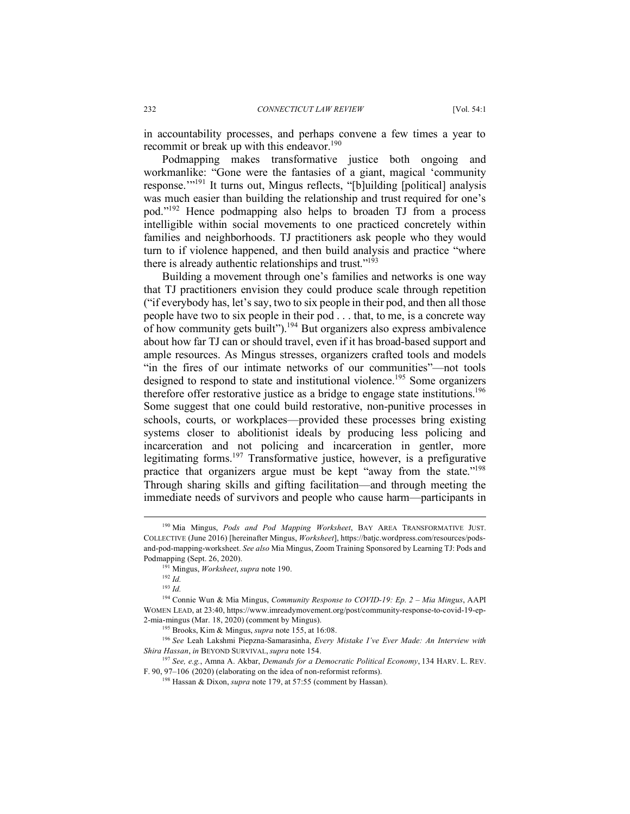in accountability processes, and perhaps convene a few times a year to recommit or break up with this endeavor.<sup>190</sup>

Podmapping makes transformative justice both ongoing and workmanlike: "Gone were the fantasies of a giant, magical 'community response."<sup>191</sup> It turns out, Mingus reflects, "[b]uilding [political] analysis was much easier than building the relationship and trust required for one's pod."192 Hence podmapping also helps to broaden TJ from a process intelligible within social movements to one practiced concretely within families and neighborhoods. TJ practitioners ask people who they would turn to if violence happened, and then build analysis and practice "where there is already authentic relationships and trust." $193$ 

Building a movement through one's families and networks is one way that TJ practitioners envision they could produce scale through repetition ("if everybody has, let's say, two to six people in their pod, and then all those people have two to six people in their pod . . . that, to me, is a concrete way of how community gets built").<sup>194</sup> But organizers also express ambivalence about how far TJ can or should travel, even if it has broad-based support and ample resources. As Mingus stresses, organizers crafted tools and models "in the fires of our intimate networks of our communities"—not tools designed to respond to state and institutional violence.<sup>195</sup> Some organizers therefore offer restorative justice as a bridge to engage state institutions.<sup>196</sup> Some suggest that one could build restorative, non-punitive processes in schools, courts, or workplaces—provided these processes bring existing systems closer to abolitionist ideals by producing less policing and incarceration and not policing and incarceration in gentler, more legitimating forms.<sup>197</sup> Transformative justice, however, is a prefigurative practice that organizers argue must be kept "away from the state."198 Through sharing skills and gifting facilitation—and through meeting the immediate needs of survivors and people who cause harm—participants in

 <sup>190</sup> Mia Mingus, *Pods and Pod Mapping Worksheet*, BAY AREA TRANSFORMATIVE JUST. COLLECTIVE (June 2016) [hereinafter Mingus, *Worksheet*], https://batjc.wordpress.com/resources/podsand-pod-mapping-worksheet. *See also* Mia Mingus, Zoom Training Sponsored by Learning TJ: Pods and Podmapping (Sept. 26, 2020).

<sup>191</sup> Mingus, *Worksheet*, *supra* note 190.

<sup>192</sup> *Id.*

<sup>193</sup> *Id.*

<sup>194</sup> Connie Wun & Mia Mingus, *Community Response to COVID-19: Ep. 2 – Mia Mingus*, AAPI WOMEN LEAD, at 23:40, https://www.imreadymovement.org/post/community-response-to-covid-19-ep-2-mia-mingus (Mar. 18, 2020) (comment by Mingus). 195 Brooks, Kim & Mingus, *supra* note 155, at 16:08.

<sup>196</sup> *See* Leah Lakshmi Piepzna-Samarasinha, *Every Mistake I've Ever Made: An Interview with Shira Hassan*, *in* BEYOND SURVIVAL, *supra* note 154.

<sup>197</sup> *See, e.g.*, Amna A. Akbar, *Demands for a Democratic Political Economy*, 134 HARV. L. REV. F. 90, 97–106 (2020) (elaborating on the idea of non-reformist reforms).

<sup>198</sup> Hassan & Dixon, *supra* note 179, at 57:55 (comment by Hassan).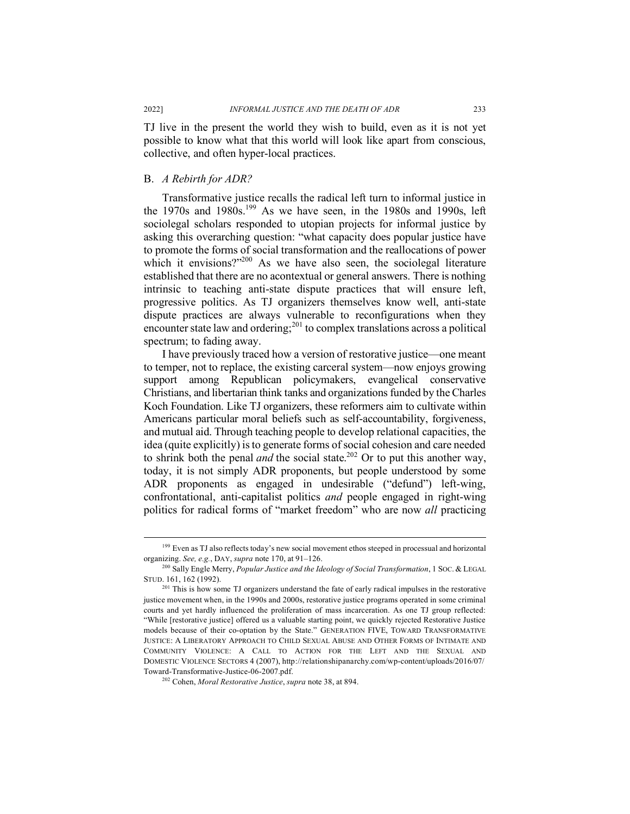TJ live in the present the world they wish to build, even as it is not yet possible to know what that this world will look like apart from conscious, collective, and often hyper-local practices.

#### B. *A Rebirth for ADR?*

Transformative justice recalls the radical left turn to informal justice in the 1970s and 1980s.<sup>199</sup> As we have seen, in the 1980s and 1990s, left sociolegal scholars responded to utopian projects for informal justice by asking this overarching question: "what capacity does popular justice have to promote the forms of social transformation and the reallocations of power which it envisions?"<sup>200</sup> As we have also seen, the sociolegal literature established that there are no acontextual or general answers. There is nothing intrinsic to teaching anti-state dispute practices that will ensure left, progressive politics. As TJ organizers themselves know well, anti-state dispute practices are always vulnerable to reconfigurations when they encounter state law and ordering; $^{201}$  to complex translations across a political spectrum; to fading away.

I have previously traced how a version of restorative justice—one meant to temper, not to replace, the existing carceral system—now enjoys growing support among Republican policymakers, evangelical conservative Christians, and libertarian think tanks and organizations funded by the Charles Koch Foundation. Like TJ organizers, these reformers aim to cultivate within Americans particular moral beliefs such as self-accountability, forgiveness, and mutual aid. Through teaching people to develop relational capacities, the idea (quite explicitly) is to generate forms of social cohesion and care needed to shrink both the penal *and* the social state.<sup>202</sup> Or to put this another way, today, it is not simply ADR proponents, but people understood by some ADR proponents as engaged in undesirable ("defund") left-wing, confrontational, anti-capitalist politics *and* people engaged in right-wing politics for radical forms of "market freedom" who are now *all* practicing

<sup>&</sup>lt;sup>199</sup> Even as TJ also reflects today's new social movement ethos steeped in processual and horizontal organizing. *See, e.g.*, DAY, *supra* note 170, at 91–126. 200 Sally Engle Merry, *Popular Justice and the Ideology of Social Transformation*, 1 SOC. & LEGAL

STUD. 161, 162 (1992).

<sup>&</sup>lt;sup>201</sup> This is how some TJ organizers understand the fate of early radical impulses in the restorative justice movement when, in the 1990s and 2000s, restorative justice programs operated in some criminal courts and yet hardly influenced the proliferation of mass incarceration. As one TJ group reflected: "While [restorative justice] offered us a valuable starting point, we quickly rejected Restorative Justice models because of their co-optation by the State." GENERATION FIVE, TOWARD TRANSFORMATIVE JUSTICE: A LIBERATORY APPROACH TO CHILD SEXUAL ABUSE AND OTHER FORMS OF INTIMATE AND COMMUNITY VIOLENCE: A CALL TO ACTION FOR THE LEFT AND THE SEXUAL AND DOMESTIC VIOLENCE SECTORS 4 (2007), http://relationshipanarchy.com/wp-content/uploads/2016/07/ Toward-Transformative-Justice-06-2007.pdf. 202 Cohen, *Moral Restorative Justice*, *supra* note 38, at 894.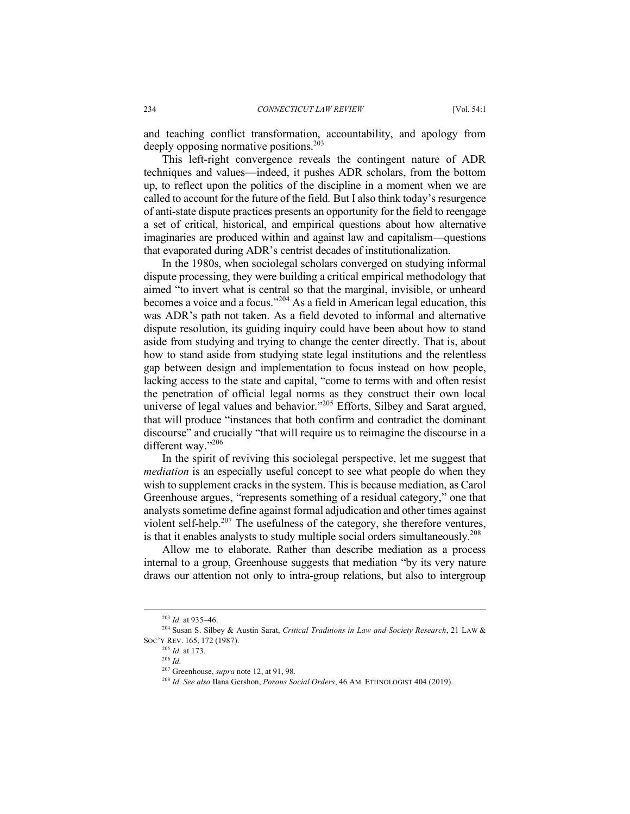and teaching conflict transformation, accountability, and apology from deeply opposing normative positions.<sup>203</sup>

This left-right convergence reveals the contingent nature of ADR techniques and values—indeed, it pushes ADR scholars, from the bottom up, to reflect upon the politics of the discipline in a moment when we are called to account for the future of the field. But I also think today's resurgence of anti-state dispute practices presents an opportunity for the field to reengage a set of critical, historical, and empirical questions about how alternative imaginaries are produced within and against law and capitalism—questions that evaporated during ADR's centrist decades of institutionalization.

In the 1980s, when sociolegal scholars converged on studying informal dispute processing, they were building a critical empirical methodology that aimed "to invert what is central so that the marginal, invisible, or unheard becomes a voice and a focus."<sup>204</sup> As a field in American legal education, this was ADR's path not taken. As a field devoted to informal and alternative dispute resolution, its guiding inquiry could have been about how to stand aside from studying and trying to change the center directly. That is, about how to stand aside from studying state legal institutions and the relentless gap between design and implementation to focus instead on how people, lacking access to the state and capital, "come to terms with and often resist the penetration of official legal norms as they construct their own local universe of legal values and behavior."<sup>205</sup> Efforts, Silbey and Sarat argued, that will produce "instances that both confirm and contradict the dominant discourse" and crucially "that will require us to reimagine the discourse in a different way."206

In the spirit of reviving this sociolegal perspective, let me suggest that *mediation* is an especially useful concept to see what people do when they wish to supplement cracks in the system. This is because mediation, as Carol Greenhouse argues, "represents something of a residual category," one that analysts sometime define against formal adjudication and other times against violent self-help.<sup>207</sup> The usefulness of the category, she therefore ventures, is that it enables analysts to study multiple social orders simultaneously.<sup>208</sup>

Allow me to elaborate. Rather than describe mediation as a process internal to a group, Greenhouse suggests that mediation "by its very nature draws our attention not only to intra-group relations, but also to intergroup

 <sup>203</sup> *Id.* at 935–46.

<sup>204</sup> Susan S. Silbey & Austin Sarat, *Critical Traditions in Law and Society Research*, 21 LAW & SOC'Y REV. 165, 172 (1987).

<sup>205</sup> *Id.* at 173.

<sup>206</sup> *Id.*

<sup>207</sup> Greenhouse, *supra* note 12, at 91, 98.

<sup>208</sup> *Id. See also* Ilana Gershon, *Porous Social Orders*, 46 AM. ETHNOLOGIST 404 (2019).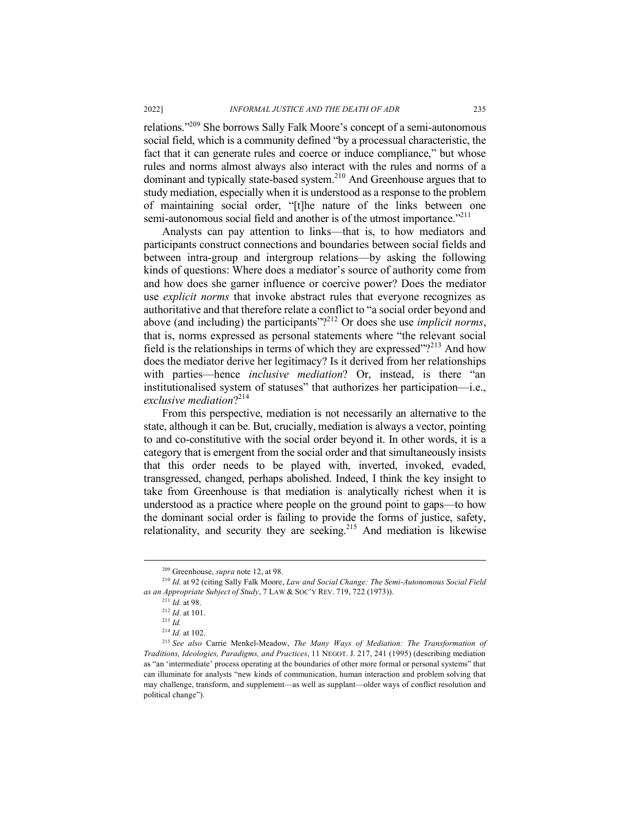relations."209 She borrows Sally Falk Moore's concept of a semi-autonomous social field, which is a community defined "by a processual characteristic, the fact that it can generate rules and coerce or induce compliance," but whose rules and norms almost always also interact with the rules and norms of a dominant and typically state-based system.210 And Greenhouse argues that to study mediation, especially when it is understood as a response to the problem of maintaining social order, "[t]he nature of the links between one semi-autonomous social field and another is of the utmost importance.<sup>"211</sup>

Analysts can pay attention to links—that is, to how mediators and participants construct connections and boundaries between social fields and between intra-group and intergroup relations—by asking the following kinds of questions: Where does a mediator's source of authority come from and how does she garner influence or coercive power? Does the mediator use *explicit norms* that invoke abstract rules that everyone recognizes as authoritative and that therefore relate a conflict to "a social order beyond and above (and including) the participants"?212 Or does she use *implicit norms*, that is, norms expressed as personal statements where "the relevant social field is the relationships in terms of which they are expressed"?<sup>213</sup> And how does the mediator derive her legitimacy? Is it derived from her relationships with parties—hence *inclusive mediation*? Or, instead, is there "an institutionalised system of statuses" that authorizes her participation—i.e., *exclusive mediation*?214

From this perspective, mediation is not necessarily an alternative to the state, although it can be. But, crucially, mediation is always a vector, pointing to and co-constitutive with the social order beyond it. In other words, it is a category that is emergent from the social order and that simultaneously insists that this order needs to be played with, inverted, invoked, evaded, transgressed, changed, perhaps abolished. Indeed, I think the key insight to take from Greenhouse is that mediation is analytically richest when it is understood as a practice where people on the ground point to gaps—to how the dominant social order is failing to provide the forms of justice, safety, relationality, and security they are seeking.<sup>215</sup> And mediation is likewise

 <sup>209</sup> Greenhouse, *supra* note 12, at 98.

<sup>210</sup> *Id.* at 92 (citing Sally Falk Moore, *Law and Social Change: The Semi-Autonomous Social Field as an Appropriate Subject of Study*, 7 LAW & SOC'Y REV. 719, 722 (1973)).

<sup>211</sup> *Id.* at 98.

<sup>212</sup> *Id.* at 101.

<sup>213</sup> *Id.*

<sup>214</sup> *Id.* at 102.

<sup>215</sup> *See also* Carrie Menkel-Meadow, *The Many Ways of Mediation: The Transformation of Traditions, Ideologies, Paradigms, and Practices*, 11 NEGOT. J. 217, 241 (1995) (describing mediation as "an 'intermediate' process operating at the boundaries of other more formal or personal systems" that can illuminate for analysts "new kinds of communication, human interaction and problem solving that may challenge, transform, and supplement—as well as supplant—older ways of conflict resolution and political change").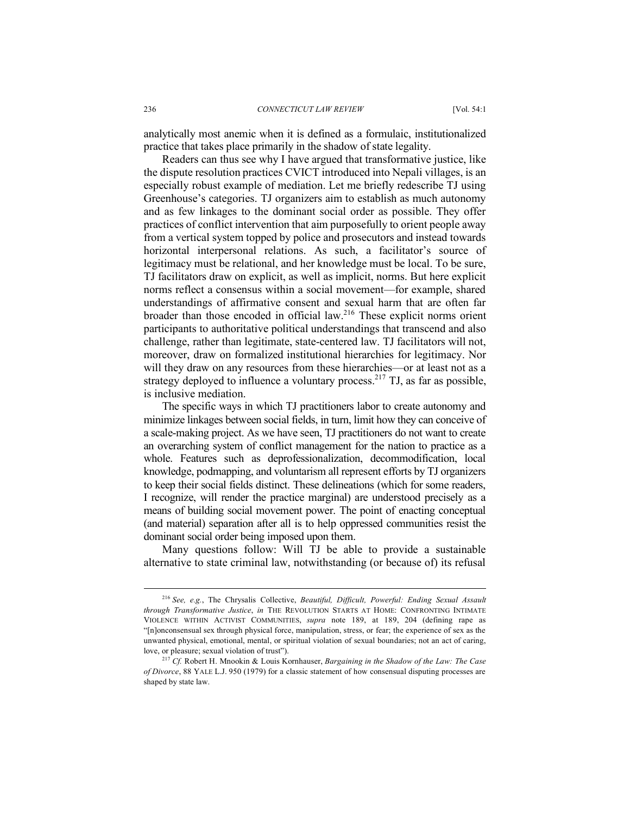analytically most anemic when it is defined as a formulaic, institutionalized practice that takes place primarily in the shadow of state legality.

Readers can thus see why I have argued that transformative justice, like the dispute resolution practices CVICT introduced into Nepali villages, is an especially robust example of mediation. Let me briefly redescribe TJ using Greenhouse's categories. TJ organizers aim to establish as much autonomy and as few linkages to the dominant social order as possible. They offer practices of conflict intervention that aim purposefully to orient people away from a vertical system topped by police and prosecutors and instead towards horizontal interpersonal relations. As such, a facilitator's source of legitimacy must be relational, and her knowledge must be local. To be sure, TJ facilitators draw on explicit, as well as implicit, norms. But here explicit norms reflect a consensus within a social movement—for example, shared understandings of affirmative consent and sexual harm that are often far broader than those encoded in official law. <sup>216</sup> These explicit norms orient participants to authoritative political understandings that transcend and also challenge, rather than legitimate, state-centered law. TJ facilitators will not, moreover, draw on formalized institutional hierarchies for legitimacy. Nor will they draw on any resources from these hierarchies—or at least not as a strategy deployed to influence a voluntary process.<sup>217</sup> TJ, as far as possible, is inclusive mediation.

The specific ways in which TJ practitioners labor to create autonomy and minimize linkages between social fields, in turn, limit how they can conceive of a scale-making project. As we have seen, TJ practitioners do not want to create an overarching system of conflict management for the nation to practice as a whole. Features such as deprofessionalization, decommodification, local knowledge, podmapping, and voluntarism all represent efforts by TJ organizers to keep their social fields distinct. These delineations (which for some readers, I recognize, will render the practice marginal) are understood precisely as a means of building social movement power. The point of enacting conceptual (and material) separation after all is to help oppressed communities resist the dominant social order being imposed upon them.

Many questions follow: Will TJ be able to provide a sustainable alternative to state criminal law, notwithstanding (or because of) its refusal

 <sup>216</sup> *See, e.g.*, The Chrysalis Collective, *Beautiful, Difficult, Powerful: Ending Sexual Assault through Transformative Justice*, *in* THE REVOLUTION STARTS AT HOME: CONFRONTING INTIMATE VIOLENCE WITHIN ACTIVIST COMMUNITIES, *supra* note 189, at 189, 204 (defining rape as "[n]onconsensual sex through physical force, manipulation, stress, or fear; the experience of sex as the unwanted physical, emotional, mental, or spiritual violation of sexual boundaries; not an act of caring, love, or pleasure; sexual violation of trust").

<sup>217</sup> *Cf.* Robert H. Mnookin & Louis Kornhauser, *Bargaining in the Shadow of the Law: The Case of Divorce*, 88 YALE L.J. 950 (1979) for a classic statement of how consensual disputing processes are shaped by state law.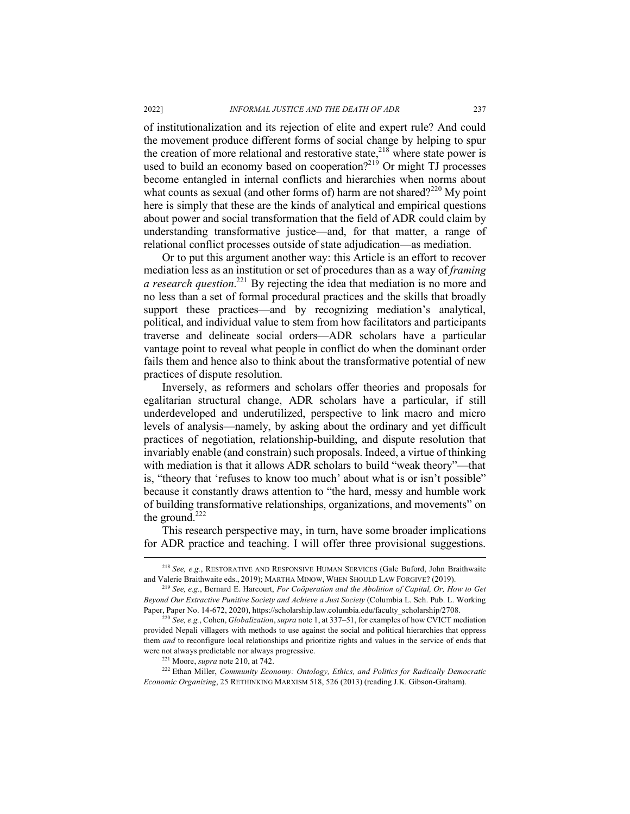of institutionalization and its rejection of elite and expert rule? And could the movement produce different forms of social change by helping to spur the creation of more relational and restorative state,  $218$  where state power is used to build an economy based on cooperation? $^{219}$  Or might TJ processes become entangled in internal conflicts and hierarchies when norms about what counts as sexual (and other forms of) harm are not shared? $2^{220}$  My point here is simply that these are the kinds of analytical and empirical questions about power and social transformation that the field of ADR could claim by understanding transformative justice—and, for that matter, a range of relational conflict processes outside of state adjudication—as mediation.

Or to put this argument another way: this Article is an effort to recover mediation less as an institution or set of procedures than as a way of *framing a research question*. <sup>221</sup> By rejecting the idea that mediation is no more and no less than a set of formal procedural practices and the skills that broadly support these practices—and by recognizing mediation's analytical, political, and individual value to stem from how facilitators and participants traverse and delineate social orders—ADR scholars have a particular vantage point to reveal what people in conflict do when the dominant order fails them and hence also to think about the transformative potential of new practices of dispute resolution.

Inversely, as reformers and scholars offer theories and proposals for egalitarian structural change, ADR scholars have a particular, if still underdeveloped and underutilized, perspective to link macro and micro levels of analysis—namely, by asking about the ordinary and yet difficult practices of negotiation, relationship-building, and dispute resolution that invariably enable (and constrain) such proposals. Indeed, a virtue of thinking with mediation is that it allows ADR scholars to build "weak theory"—that is, "theory that 'refuses to know too much' about what is or isn't possible" because it constantly draws attention to "the hard, messy and humble work of building transformative relationships, organizations, and movements" on the ground.<sup>222</sup>

This research perspective may, in turn, have some broader implications for ADR practice and teaching. I will offer three provisional suggestions.

 <sup>218</sup> *See, e.g.*, RESTORATIVE AND RESPONSIVE HUMAN SERVICES (Gale Buford, John Braithwaite and Valerie Braithwaite eds., 2019); MARTHA MINOW, WHEN SHOULD LAW FORGIVE? (2019). 219 *See, e.g.*, Bernard E. Harcourt, *For Coöperation and the Abolition of Capital, Or, How to Get* 

*Beyond Our Extractive Punitive Society and Achieve a Just Society* (Columbia L. Sch. Pub. L. Working Paper, Paper No. 14-672, 2020), https://scholarship.law.columbia.edu/faculty\_scholarship/2708. 220 *See, e.g.*, Cohen, *Globalization*, *supra* note 1, at 337–51, for examples of how CVICT mediation

provided Nepali villagers with methods to use against the social and political hierarchies that oppress them *and* to reconfigure local relationships and prioritize rights and values in the service of ends that were not always predictable nor always progressive.

<sup>221</sup> Moore, *supra* note 210, at 742.

<sup>222</sup> Ethan Miller, *Community Economy: Ontology, Ethics, and Politics for Radically Democratic Economic Organizing*, 25 RETHINKING MARXISM 518, 526 (2013) (reading J.K. Gibson-Graham).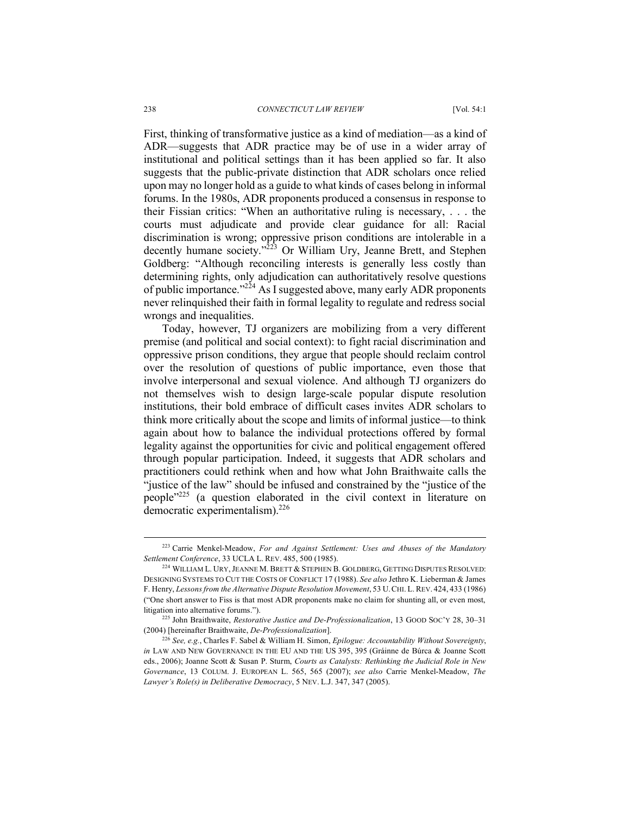#### 238 *CONNECTICUT LAW REVIEW* [Vol. 54:1

First, thinking of transformative justice as a kind of mediation—as a kind of ADR—suggests that ADR practice may be of use in a wider array of institutional and political settings than it has been applied so far. It also suggests that the public-private distinction that ADR scholars once relied upon may no longer hold as a guide to what kinds of cases belong in informal forums. In the 1980s, ADR proponents produced a consensus in response to their Fissian critics: "When an authoritative ruling is necessary, . . . the courts must adjudicate and provide clear guidance for all: Racial discrimination is wrong; oppressive prison conditions are intolerable in a decently humane society."<sup>223</sup> Or William Ury, Jeanne Brett, and Stephen Goldberg: "Although reconciling interests is generally less costly than determining rights, only adjudication can authoritatively resolve questions of public importance." $^{224}$  As I suggested above, many early ADR proponents never relinquished their faith in formal legality to regulate and redress social wrongs and inequalities.

Today, however, TJ organizers are mobilizing from a very different premise (and political and social context): to fight racial discrimination and oppressive prison conditions, they argue that people should reclaim control over the resolution of questions of public importance, even those that involve interpersonal and sexual violence. And although TJ organizers do not themselves wish to design large-scale popular dispute resolution institutions, their bold embrace of difficult cases invites ADR scholars to think more critically about the scope and limits of informal justice—to think again about how to balance the individual protections offered by formal legality against the opportunities for civic and political engagement offered through popular participation. Indeed, it suggests that ADR scholars and practitioners could rethink when and how what John Braithwaite calls the "justice of the law" should be infused and constrained by the "justice of the people"225 (a question elaborated in the civil context in literature on democratic experimentalism). 226

 <sup>223</sup> Carrie Menkel-Meadow, *For and Against Settlement: Uses and Abuses of the Mandatory Settlement Conference*, 33 UCLA L. REV. 485, 500 (1985). 224 WILLIAM L. URY,JEANNE M. BRETT & STEPHEN B. GOLDBERG, GETTING DISPUTES RESOLVED:

DESIGNING SYSTEMS TO CUT THE COSTS OF CONFLICT 17 (1988). *See also* Jethro K. Lieberman & James F. Henry, *Lessons from the Alternative Dispute Resolution Movement*, 53 U.CHI. L. REV. 424, 433 (1986) ("One short answer to Fiss is that most ADR proponents make no claim for shunting all, or even most, litigation into alternative forums.").

<sup>225</sup> John Braithwaite, *Restorative Justice and De-Professionalization*, 13 GOOD SOC'Y 28, 30–31 (2004) [hereinafter Braithwaite, *De-Professionalization*]. 226 *See, e.g.*, Charles F. Sabel & William H. Simon, *Epilogue: Accountability Without Sovereignty*,

*in* LAW AND NEW GOVERNANCE IN THE EU AND THE US 395, 395 (Gráinne de Búrca & Joanne Scott eds., 2006); Joanne Scott & Susan P. Sturm, *Courts as Catalysts: Rethinking the Judicial Role in New Governance*, 13 COLUM. J. EUROPEAN L. 565, 565 (2007); *see also* Carrie Menkel-Meadow, *The Lawyer's Role(s) in Deliberative Democracy*, 5 NEV. L.J. 347, 347 (2005).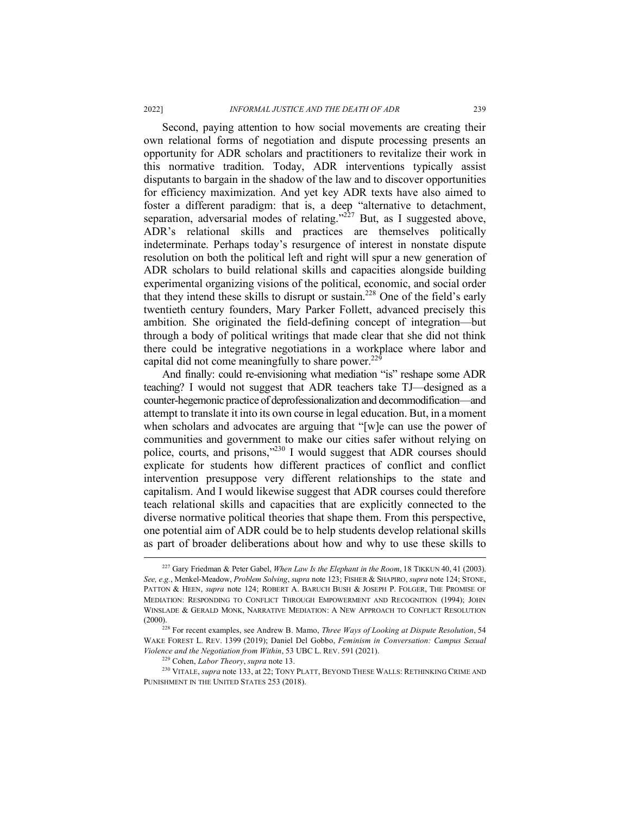Second, paying attention to how social movements are creating their own relational forms of negotiation and dispute processing presents an opportunity for ADR scholars and practitioners to revitalize their work in this normative tradition. Today, ADR interventions typically assist disputants to bargain in the shadow of the law and to discover opportunities for efficiency maximization. And yet key ADR texts have also aimed to foster a different paradigm: that is, a deep "alternative to detachment, separation, adversarial modes of relating." $^{227}$  But, as I suggested above, ADR's relational skills and practices are themselves politically indeterminate. Perhaps today's resurgence of interest in nonstate dispute resolution on both the political left and right will spur a new generation of ADR scholars to build relational skills and capacities alongside building experimental organizing visions of the political, economic, and social order that they intend these skills to disrupt or sustain.228 One of the field's early twentieth century founders, Mary Parker Follett, advanced precisely this ambition. She originated the field-defining concept of integration—but through a body of political writings that made clear that she did not think there could be integrative negotiations in a workplace where labor and capital did not come meaningfully to share power.<sup>229</sup>

And finally: could re-envisioning what mediation "is" reshape some ADR teaching? I would not suggest that ADR teachers take TJ—designed as a counter-hegemonic practice of deprofessionalization and decommodification—and attempt to translate it into its own course in legal education. But, in a moment when scholars and advocates are arguing that "[w]e can use the power of communities and government to make our cities safer without relying on police, courts, and prisons,"230 I would suggest that ADR courses should explicate for students how different practices of conflict and conflict intervention presuppose very different relationships to the state and capitalism. And I would likewise suggest that ADR courses could therefore teach relational skills and capacities that are explicitly connected to the diverse normative political theories that shape them. From this perspective, one potential aim of ADR could be to help students develop relational skills as part of broader deliberations about how and why to use these skills to

 <sup>227</sup> Gary Friedman & Peter Gabel, *When Law Is the Elephant in the Room*, 18 TIKKUN 40, <sup>41</sup> (2003). *See, e.g.*, Menkel-Meadow, *Problem Solving*, *supra* note 123; FISHER & SHAPIRO, *supra* note 124; STONE, PATTON & HEEN, *supra* note 124; ROBERT A. BARUCH BUSH & JOSEPH P. FOLGER, THE PROMISE OF MEDIATION: RESPONDING TO CONFLICT THROUGH EMPOWERMENT AND RECOGNITION (1994); JOHN WINSLADE & GERALD MONK, NARRATIVE MEDIATION: A NEW APPROACH TO CONFLICT RESOLUTION  $(2000)$ 

<sup>228</sup> For recent examples, see Andrew B. Mamo, *Three Ways of Looking at Dispute Resolution*, 54 WAKE FOREST L. REV. 1399 (2019); Daniel Del Gobbo, *Feminism in Conversation: Campus Sexual Violence and the Negotiation from Within*, 53 UBC L. REV. 591 (2021).

<sup>229</sup> Cohen, *Labor Theory*, *supra* note 13.

<sup>230</sup> VITALE, *supra* note 133, at 22; TONY PLATT, BEYOND THESE WALLS: RETHINKING CRIME AND PUNISHMENT IN THE UNITED STATES 253 (2018).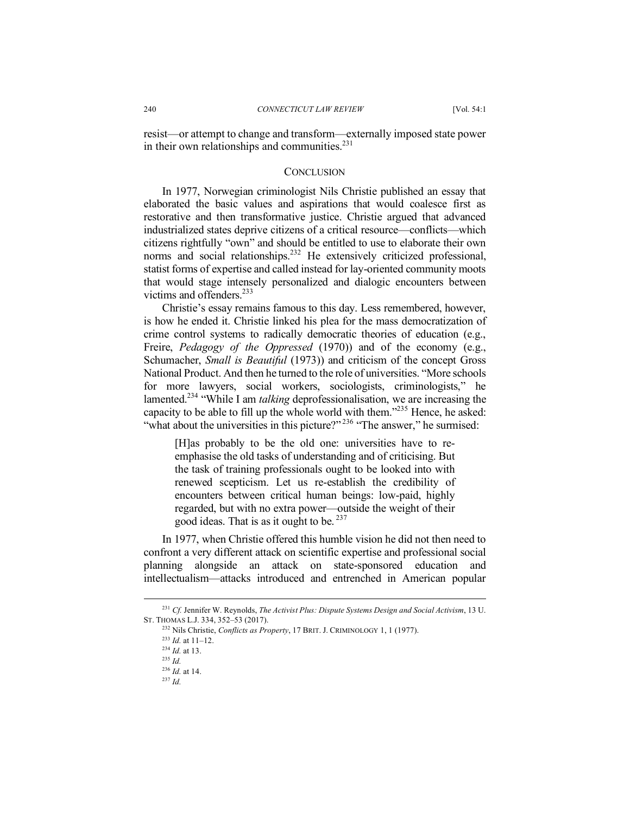resist—or attempt to change and transform—externally imposed state power in their own relationships and communities.<sup>231</sup>

### **CONCLUSION**

In 1977, Norwegian criminologist Nils Christie published an essay that elaborated the basic values and aspirations that would coalesce first as restorative and then transformative justice. Christie argued that advanced industrialized states deprive citizens of a critical resource—conflicts—which citizens rightfully "own" and should be entitled to use to elaborate their own norms and social relationships.<sup>232</sup> He extensively criticized professional, statist forms of expertise and called instead for lay-oriented community moots that would stage intensely personalized and dialogic encounters between victims and offenders.<sup>233</sup>

Christie's essay remains famous to this day. Less remembered, however, is how he ended it. Christie linked his plea for the mass democratization of crime control systems to radically democratic theories of education (e.g., Freire, *Pedagogy of the Oppressed* (1970)) and of the economy (e.g., Schumacher, *Small is Beautiful* (1973)) and criticism of the concept Gross National Product. And then he turned to the role of universities. "More schools for more lawyers, social workers, sociologists, criminologists," he lamented.234 "While I am *talking* deprofessionalisation, we are increasing the capacity to be able to fill up the whole world with them."235 Hence, he asked: "what about the universities in this picture?"<sup>236</sup> "The answer," he surmised:

[H]as probably to be the old one: universities have to reemphasise the old tasks of understanding and of criticising. But the task of training professionals ought to be looked into with renewed scepticism. Let us re-establish the credibility of encounters between critical human beings: low-paid, highly regarded, but with no extra power—outside the weight of their good ideas. That is as it ought to be. <sup>237</sup>

In 1977, when Christie offered this humble vision he did not then need to confront a very different attack on scientific expertise and professional social planning alongside an attack on state-sponsored education and intellectualism—attacks introduced and entrenched in American popular

 <sup>231</sup> *Cf.* Jennifer W. Reynolds, *The Activist Plus: Dispute Systems Design and Social Activism*, 13 U. ST. THOMAS L.J. 334, 352–53 (2017).

<sup>232</sup> Nils Christie, *Conflicts as Property*, 17 BRIT. J. CRIMINOLOGY 1, 1 (1977).

<sup>233</sup> *Id.* at 11–12.

<sup>234</sup> *Id.* at 13.

<sup>235</sup> *Id.*

<sup>236</sup> *Id.* at 14.

<sup>237</sup> *Id.*